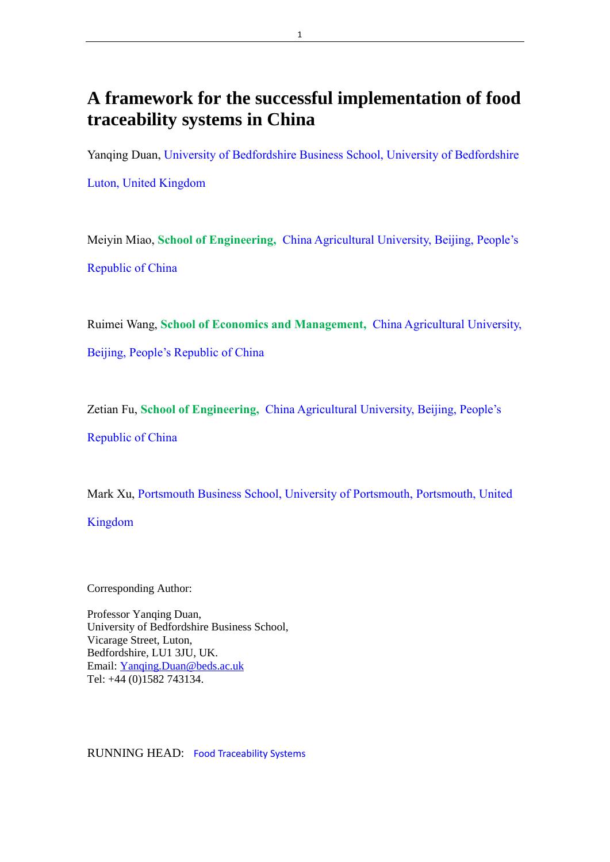# **A framework for the successful implementation of food traceability systems in China**

Yanqing Duan, University of Bedfordshire Business School, University of Bedfordshire

Luton, United Kingdom

Meiyin Miao, **School of Engineering,** China Agricultural University, Beijing, People's Republic of China

Ruimei Wang, **School of Economics and Management,** China Agricultural University,

Beijing, People's Republic of China

Zetian Fu, **School of Engineering,** China Agricultural University, Beijing, People's Republic of China

Mark Xu, Portsmouth Business School, University of Portsmouth, Portsmouth, United Kingdom

Corresponding Author:

Professor Yanqing Duan, University of Bedfordshire Business School, Vicarage Street, Luton, Bedfordshire, LU1 3JU, UK. Email: [Yanqing.Duan@beds.ac.uk](mailto:Yanqing.Duan@beds.ac.uk) Tel: +44 (0)1582 743134.

RUNNING HEAD:Food Traceability Systems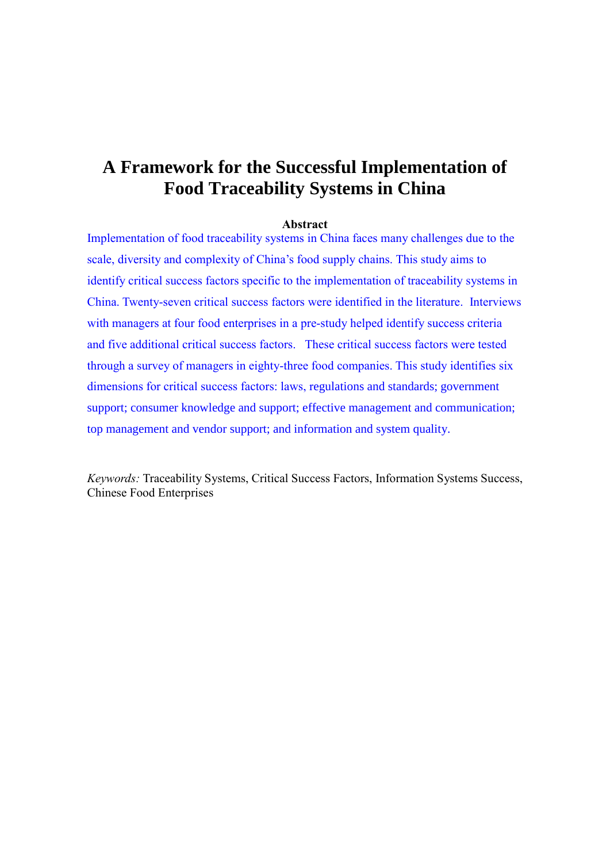# **A Framework for the Successful Implementation of Food Traceability Systems in China**

#### **Abstract**

Implementation of food traceability systems in China faces many challenges due to the scale, diversity and complexity of China's food supply chains. This study aims to identify critical success factors specific to the implementation of traceability systems in China. Twenty-seven critical success factors were identified in the literature. Interviews with managers at four food enterprises in a pre-study helped identify success criteria and five additional critical success factors. These critical success factors were tested through a survey of managers in eighty-three food companies. This study identifies six dimensions for critical success factors: laws, regulations and standards; government support; consumer knowledge and support; effective management and communication; top management and vendor support; and information and system quality.

*Keywords:* Traceability Systems, Critical Success Factors, Information Systems Success, Chinese Food Enterprises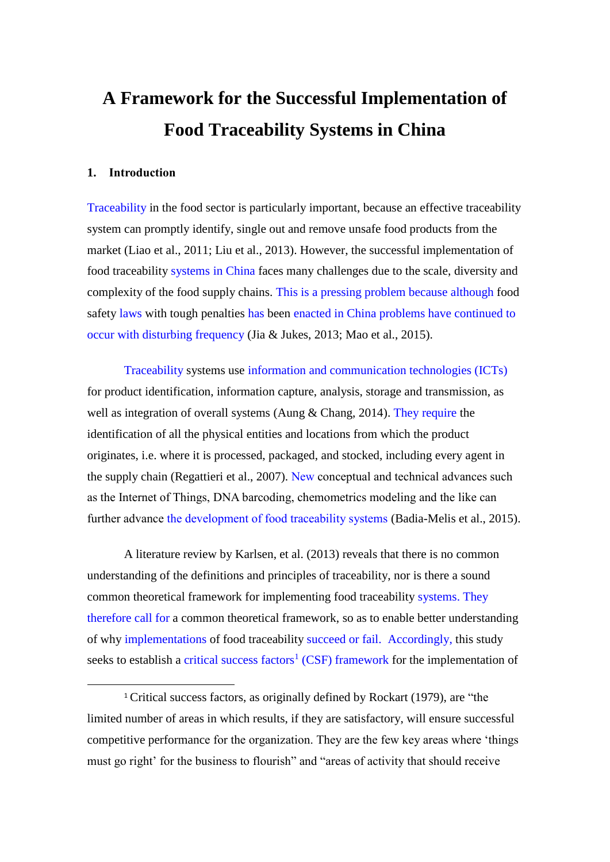# **A Framework for the Successful Implementation of Food Traceability Systems in China**

#### **1. Introduction**

-

Traceability in the food sector is particularly important, because an effective traceability system can promptly identify, single out and remove unsafe food products from the market [\(Liao et al., 2011;](#page-27-0) [Liu et al., 2013\)](#page-27-1). However, the successful implementation of food traceability systems in China faces many challenges due to the scale, diversity and complexity of the food supply chains. This is a pressing problem because although food safety laws with tough penalties has been enacted in China problems have continued to occur with disturbing frequency [\(Jia & Jukes, 2013;](#page-27-2) [Mao et al., 2015\)](#page-27-3).

Traceability systems use information and communication technologies (ICTs) for product identification, information capture, analysis, storage and transmission, as well as integration of overall systems [\(Aung & Chang, 2014\)](#page-25-0). They require the identification of all the physical entities and locations from which the product originates, i.e. where it is processed, packaged, and stocked, including every agent in the supply chain [\(Regattieri et al., 2007\)](#page-28-0). New conceptual and technical advances such as the Internet of Things, DNA barcoding, chemometrics modeling and the like can further advance the development of food traceability systems [\(Badia-Melis et al., 2015\)](#page-25-1).

A literature review by Karlsen, et al. [\(2013\)](#page-27-4) reveals that there is no common understanding of the definitions and principles of traceability, nor is there a sound common theoretical framework for implementing food traceability systems. They therefore call for a common theoretical framework, so as to enable better understanding of why implementations of food traceability succeed or fail. Accordingly, this study seeks to establish a critical success factors<sup>1</sup> (CSF) framework for the implementation of

<sup>1</sup> Critical success factors, as originally defined by Rockart [\(1979\)](#page-28-1), are "the limited number of areas in which results, if they are satisfactory, will ensure successful competitive performance for the organization. They are the few key areas where 'things must go right' for the business to flourish" and "areas of activity that should receive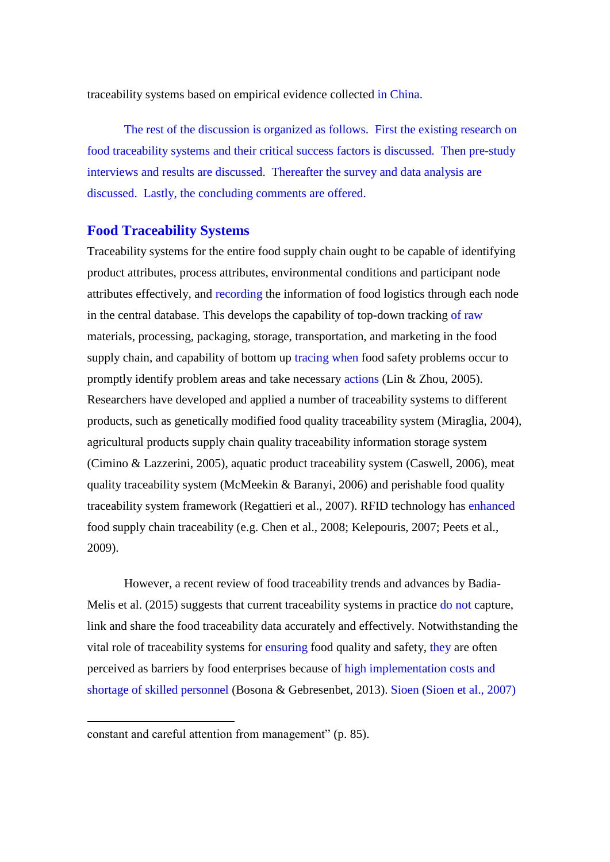traceability systems based on empirical evidence collected in China.

The rest of the discussion is organized as follows. First the existing research on food traceability systems and their critical success factors is discussed. Then pre-study interviews and results are discussed. Thereafter the survey and data analysis are discussed. Lastly, the concluding comments are offered.

### **Food Traceability Systems**

Traceability systems for the entire food supply chain ought to be capable of identifying product attributes, process attributes, environmental conditions and participant node attributes effectively, and recording the information of food logistics through each node in the central database. This develops the capability of top-down tracking of raw materials, processing, packaging, storage, transportation, and marketing in the food supply chain, and capability of bottom up tracing when food safety problems occur to promptly identify problem areas and take necessary actions [\(Lin & Zhou, 2005\)](#page-27-5). Researchers have developed and applied a number of traceability systems to different products, such as genetically modified food quality traceability system [\(Miraglia, 2004\)](#page-28-2), agricultural products supply chain quality traceability information storage system [\(Cimino & Lazzerini, 2005\)](#page-26-0), aquatic product traceability system [\(Caswell, 2006\)](#page-25-2), meat quality traceability system [\(McMeekin & Baranyi, 2006\)](#page-27-6) and perishable food quality traceability system framework [\(Regattieri et al., 2007\)](#page-28-0). RFID technology has enhanced food supply chain traceability (e.g. [Chen et al., 2008;](#page-26-1) [Kelepouris, 2007;](#page-27-7) [Peets et al.,](#page-28-3)  [2009\)](#page-28-3).

However, a recent review of food traceability trends and advances by Badia-Melis et al. (2015) suggests that current traceability systems in practice do not capture, link and share the food traceability data accurately and effectively. Notwithstanding the vital role of traceability systems for ensuring food quality and safety, they are often perceived as barriers by food enterprises because of high implementation costs and shortage of skilled personnel [\(Bosona & Gebresenbet, 2013\)](#page-25-3). Sioen [\(Sioen et al., 2007\)](#page-28-4)

-

constant and careful attention from management" (p. 85).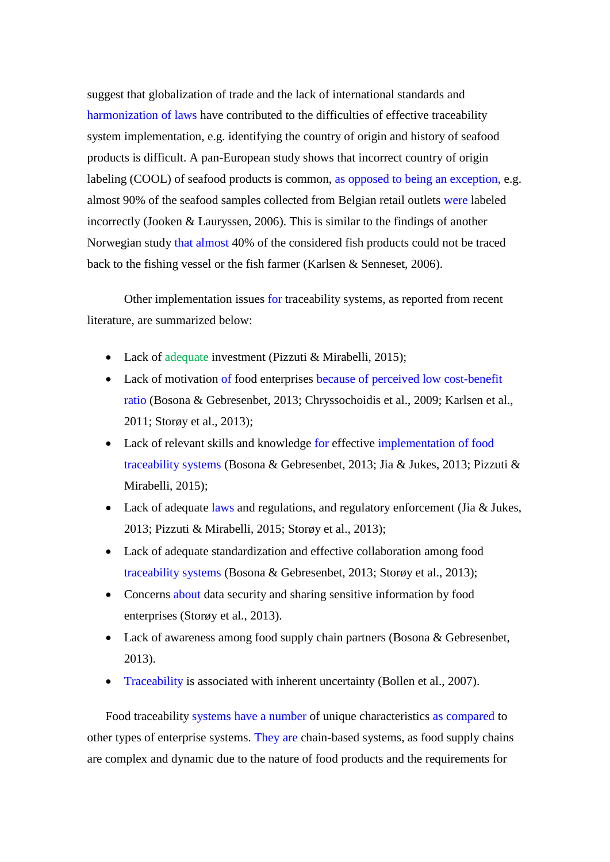suggest that globalization of trade and the lack of international standards and harmonization of laws have contributed to the difficulties of effective traceability system implementation, e.g. identifying the country of origin and history of seafood products is difficult. A pan-European study shows that incorrect country of origin labeling (COOL) of seafood products is common, as opposed to being an exception, e.g. almost 90% of the seafood samples collected from Belgian retail outlets were labeled incorrectly [\(Jooken & Lauryssen, 2006\)](#page-27-8). This is similar to the findings of another Norwegian study that almost 40% of the considered fish products could not be traced back to the fishing vessel or the fish farmer [\(Karlsen & Senneset, 2006\)](#page-27-9).

Other implementation issues for traceability systems, as reported from recent literature, are summarized below:

- Lack of adequate investment [\(Pizzuti & Mirabelli, 2015\)](#page-28-5);
- Lack of motivation of food enterprises because of perceived low cost-benefit ratio [\(Bosona & Gebresenbet, 2013;](#page-25-3) [Chryssochoidis et al., 2009;](#page-26-2) [Karlsen et al.,](#page-27-10)  [2011;](#page-27-10) [Storøy et al., 2013\)](#page-28-6);
- Lack of relevant skills and knowledge for effective implementation of food traceability systems [\(Bosona & Gebresenbet,](#page-25-3) 2013; [Jia & Jukes, 2013;](#page-27-2) [Pizzuti &](#page-28-5)  [Mirabelli, 2015\)](#page-28-5);
- Lack of adequate laws and regulations, and regulatory enforcement (Jia & Jukes, [2013;](#page-27-2) [Pizzuti & Mirabelli, 2015;](#page-28-5) [Storøy et al., 2013\)](#page-28-6);
- Lack of adequate standardization and effective collaboration among food traceability systems [\(Bosona & Gebresenbet, 2013;](#page-25-3) [Storøy et al., 2013\)](#page-28-6);
- Concerns about data security and sharing sensitive information by food enterprises [\(Storøy et al., 2013\)](#page-28-6).
- Lack of awareness among food supply chain partners (Bosona & Gebresenbet, [2013\)](#page-25-3).
- Traceability is associated with inherent uncertainty [\(Bollen et al., 2007\)](#page-25-4).

Food traceability systems have a number of unique characteristics as compared to other types of enterprise systems. They are chain-based systems, as food supply chains are complex and dynamic due to the nature of food products and the requirements for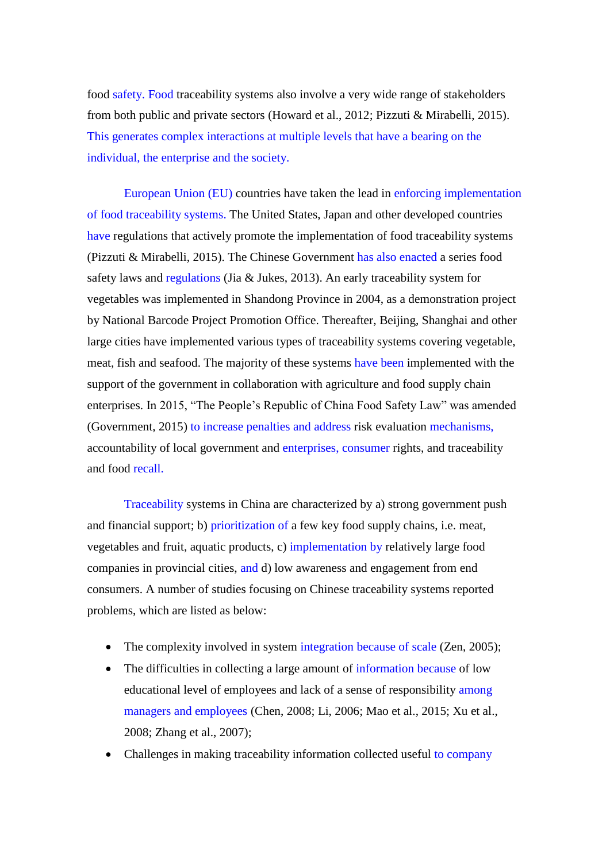food safety. Food traceability systems also involve a very wide range of stakeholders from both public and private sectors [\(Howard et al., 2012;](#page-27-11) [Pizzuti & Mirabelli, 2015\)](#page-28-5). This generates complex interactions at multiple levels that have a bearing on the individual, the enterprise and the society.

European Union (EU) countries have taken the lead in enforcing implementation of food traceability systems. The United States, Japan and other developed countries have regulations that actively promote the implementation of food traceability systems [\(Pizzuti & Mirabelli, 2015\)](#page-28-5). The Chinese Government has also enacted a series food safety laws and regulations [\(Jia & Jukes, 2013\)](#page-27-2). An early traceability system for vegetables was implemented in Shandong Province in 2004, as a demonstration project by National Barcode Project Promotion Office. Thereafter, Beijing, Shanghai and other large cities have implemented various types of traceability systems covering vegetable, meat, fish and seafood. The majority of these systems have been implemented with the support of the government in collaboration with agriculture and food supply chain enterprises. In 2015, "The People's Republic of China Food Safety Law" was amended [\(Government, 2015\)](#page-26-3) to increase penalties and address risk evaluation mechanisms, accountability of local government and enterprises, consumer rights, and traceability and food recall.

Traceability systems in China are characterized by a) strong government push and financial support; b) prioritization of a few key food supply chains, i.e. meat, vegetables and fruit, aquatic products, c) implementation by relatively large food companies in provincial cities, and d) low awareness and engagement from end consumers. A number of studies focusing on Chinese traceability systems reported problems, which are listed as below:

- The complexity involved in system integration because of scale [\(Zen, 2005\)](#page-29-0);
- The difficulties in collecting a large amount of information because of low educational level of employees and lack of a sense of responsibility among managers and employees [\(Chen, 2008;](#page-25-5) [Li, 2006;](#page-27-12) [Mao et al., 2015;](#page-27-3) [Xu et al.,](#page-29-1)  [2008;](#page-29-1) [Zhang et al., 2007\)](#page-29-2);
- Challenges in making traceability information collected useful to company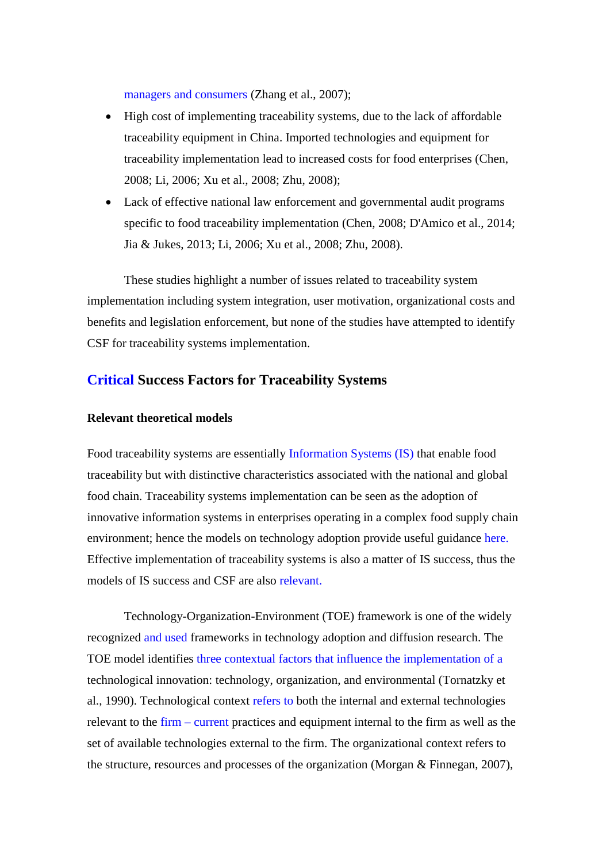managers and consumers [\(Zhang et al., 2007\)](#page-29-2);

- High cost of implementing traceability systems, due to the lack of affordable traceability equipment in China. Imported technologies and equipment for traceability implementation lead to increased costs for food enterprises [\(Chen,](#page-25-5)  [2008;](#page-25-5) [Li, 2006;](#page-27-12) [Xu et al., 2008;](#page-29-1) [Zhu, 2008\)](#page-30-0);
- Lack of effective national law enforcement and governmental audit programs specific to food traceability implementation [\(Chen, 2008;](#page-25-5) [D'Amico et al., 2014;](#page-26-4) [Jia & Jukes, 2013;](#page-27-2) [Li, 2006;](#page-27-12) [Xu et al., 2008;](#page-29-1) [Zhu, 2008\)](#page-30-0).

These studies highlight a number of issues related to traceability system implementation including system integration, user motivation, organizational costs and benefits and legislation enforcement, but none of the studies have attempted to identify CSF for traceability systems implementation.

### **Critical Success Factors for Traceability Systems**

#### **Relevant theoretical models**

Food traceability systems are essentially Information Systems (IS) that enable food traceability but with distinctive characteristics associated with the national and global food chain. Traceability systems implementation can be seen as the adoption of innovative information systems in enterprises operating in a complex food supply chain environment; hence the models on technology adoption provide useful guidance here. Effective implementation of traceability systems is also a matter of IS success, thus the models of IS success and CSF are also relevant.

Technology-Organization-Environment (TOE) framework is one of the widely recognized and used frameworks in technology adoption and diffusion research. The TOE model identifies three contextual factors that influence the implementation of a technological innovation: technology, organization, and environmental [\(Tornatzky et](#page-29-3)  [al., 1990\)](#page-29-3). Technological context refers to both the internal and external technologies relevant to the firm – current practices and equipment internal to the firm as well as the set of available technologies external to the firm. The organizational context refers to the structure, resources and processes of the organization [\(Morgan & Finnegan, 2007\)](#page-28-7),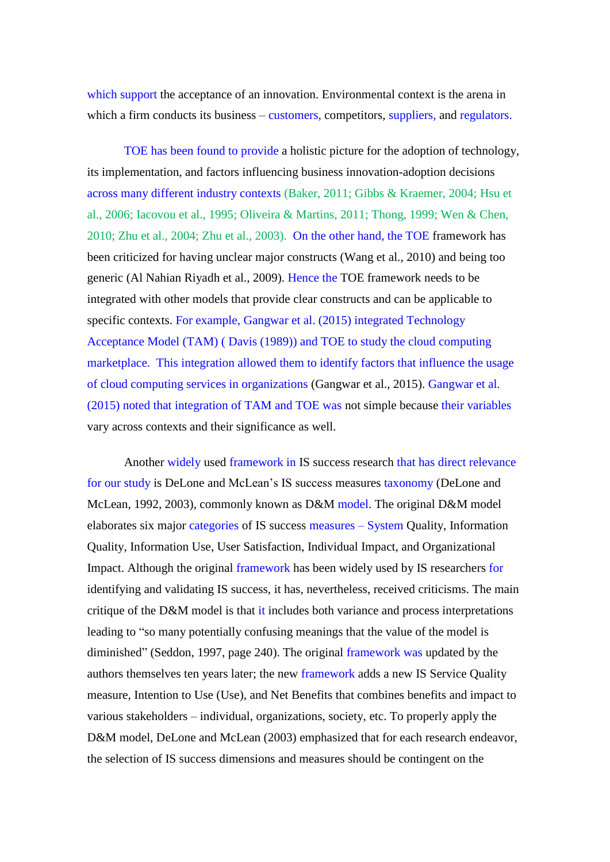which support the acceptance of an innovation. Environmental context is the arena in which a firm conducts its business – customers, competitors, suppliers, and regulators.

TOE has been found to provide a holistic picture for the adoption of technology, its implementation, and factors influencing business innovation-adoption decisions across many different industry contexts [\(Baker, 2011;](#page-25-6) [Gibbs & Kraemer, 2004;](#page-26-5) [Hsu et](#page-27-13)  [al., 2006;](#page-27-13) [Iacovou et al., 1995;](#page-27-14) [Oliveira & Martins, 2011;](#page-28-8) [Thong, 1999;](#page-29-4) [Wen & Chen,](#page-29-5)  [2010;](#page-29-5) [Zhu et al., 2004;](#page-29-6) [Zhu et al., 2003\)](#page-30-1). On the other hand, the TOE framework has been criticized for having unclear major constructs [\(Wang et al., 2010\)](#page-29-7) and being too generic [\(Al Nahian Riyadh et al., 2009\)](#page-25-7). Hence the TOE framework needs to be integrated with other models that provide clear constructs and can be applicable to specific contexts. For example, Gangwar et al. (2015) integrated Technology Acceptance Model (TAM) ( [Davis \(1989\)\)](#page-26-6) and TOE to study the cloud computing marketplace. This integration allowed them to identify factors that influence the usage of cloud computing services in organizations [\(Gangwar et al., 2015\)](#page-26-7). Gangwar et al. (2015) noted that integration of TAM and TOE was not simple because their variables vary across contexts and their significance as well.

Another widely used framework in IS success research that has direct relevance for our study is DeLone and McLean's IS success measures taxonomy (DeLone and McLean, 1992, 2003), commonly known as D&M model. The original D&M model elaborates six major categories of IS success measures – System Quality, Information Quality, Information Use, User Satisfaction, Individual Impact, and Organizational Impact. Although the original framework has been widely used by IS researchers for identifying and validating IS success, it has, nevertheless, received criticisms. The main critique of the D&M model is that it includes both variance and process interpretations leading to "so many potentially confusing meanings that the value of the model is diminished" [\(Seddon, 1997, page 240\)](#page-28-9). The original framework was updated by the authors themselves ten years later; the new framework adds a new IS Service Quality measure, Intention to Use (Use), and Net Benefits that combines benefits and impact to various stakeholders – individual, organizations, society, etc. To properly apply the D&M model, DeLone and McLean (2003) emphasized that for each research endeavor, the selection of IS success dimensions and measures should be contingent on the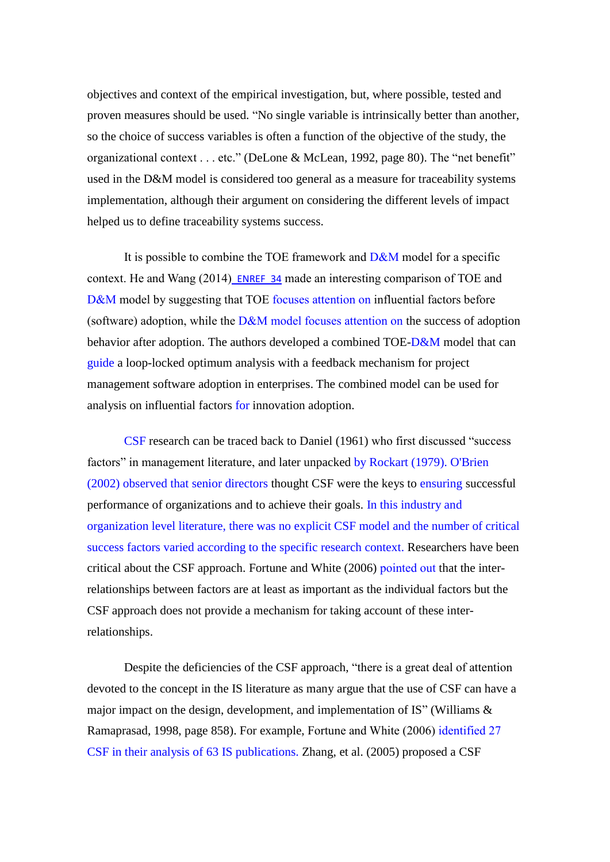objectives and context of the empirical investigation, but, where possible, tested and proven measures should be used. "No single variable is intrinsically better than another, so the choice of success variables is often a function of the objective of the study, the organizational context . . . etc." [\(DeLone & McLean, 1992, page 80\)](#page-26-8). The "net benefit" used in the D&M model is considered too general as a measure for traceability systems implementation, although their argument on considering the different levels of impact helped us to define traceability systems success.

It is possible to combine the TOE framework and  $D&M$  model for a specific context. [He and Wang \(2014\)](#page-27-15) ENREF 34 made an interesting comparison of TOE and D&M model by suggesting that TOE focuses attention on influential factors before (software) adoption, while the D&M model focuses attention on the success of adoption behavior after adoption. The authors developed a combined  $\text{TOE-}\text{D}\&\text{M}$  model that can guide a loop-locked optimum analysis with a feedback mechanism for project management software adoption in enterprises. The combined model can be used for analysis on influential factors for innovation adoption.

CSF research can be traced back to Daniel [\(1961\)](#page-26-9) who first discussed "success factors" in management literature, and later unpacked by Rockart [\(1979\)](#page-28-1). [O'Brien](#page-28-10)  (2002) observed that senior directors thought CSF were the keys to ensuring successful performance of organizations and to achieve their goals. In this industry and organization level literature, there was no explicit CSF model and the number of critical success factors varied according to the specific research context. Researchers have been critical about the CSF approach. [Fortune and White \(2006\)](#page-26-10) pointed out that the interrelationships between factors are at least as important as the individual factors but the CSF approach does not provide a mechanism for taking account of these interrelationships.

Despite the deficiencies of the CSF approach, "there is a great deal of attention devoted to the concept in the IS literature as many argue that the use of CSF can have a major impact on the design, development, and implementation of IS" [\(Williams &](#page-29-8)  [Ramaprasad, 1998, page 858\)](#page-29-8). For example, Fortune and White (2006) identified 27 CSF in their analysis of 63 IS publications. Zhang, et al. [\(2005\)](#page-29-9) proposed a CSF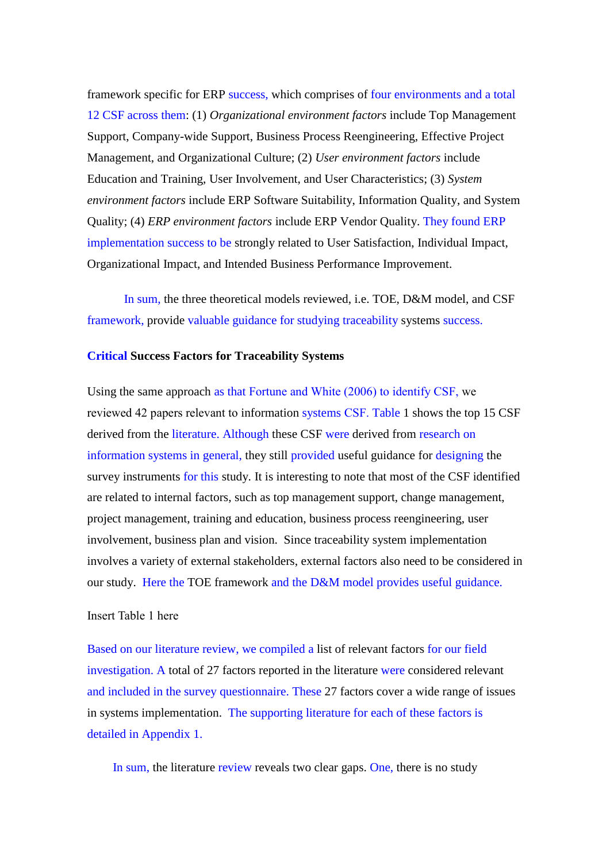framework specific for ERP success, which comprises of four environments and a total 12 CSF across them: (1) *Organizational environment factors* include Top Management Support, Company-wide Support, Business Process Reengineering, Effective Project Management, and Organizational Culture; (2) *User environment factors* include Education and Training, User Involvement, and User Characteristics; (3) *System environment factors* include ERP Software Suitability, Information Quality, and System Quality; (4) *ERP environment factors* include ERP Vendor Quality. They found ERP implementation success to be strongly related to User Satisfaction, Individual Impact, Organizational Impact, and Intended Business Performance Improvement.

In sum, the three theoretical models reviewed, i.e. TOE, D&M model, and CSF framework, provide valuable guidance for studying traceability systems success.

#### **Critical Success Factors for Traceability Systems**

Using the same approach as that Fortune and White (2006) to identify CSF, we reviewed 42 papers relevant to information systems CSF. Table 1 shows the top 15 CSF derived from the literature. Although these CSF were derived from research on information systems in general, they still provided useful guidance for designing the survey instruments for this study. It is interesting to note that most of the CSF identified are related to internal factors, such as top management support, change management, project management, training and education, business process reengineering, user involvement, business plan and vision. Since traceability system implementation involves a variety of external stakeholders, external factors also need to be considered in our study. Here the TOE framework and the D&M model provides useful guidance.

#### Insert Table 1 here

Based on our literature review, we compiled a list of relevant factors for our field investigation. A total of 27 factors reported in the literature were considered relevant and included in the survey questionnaire. These 27 factors cover a wide range of issues in systems implementation. The supporting literature for each of these factors is detailed in Appendix 1.

In sum, the literature review reveals two clear gaps. One, there is no study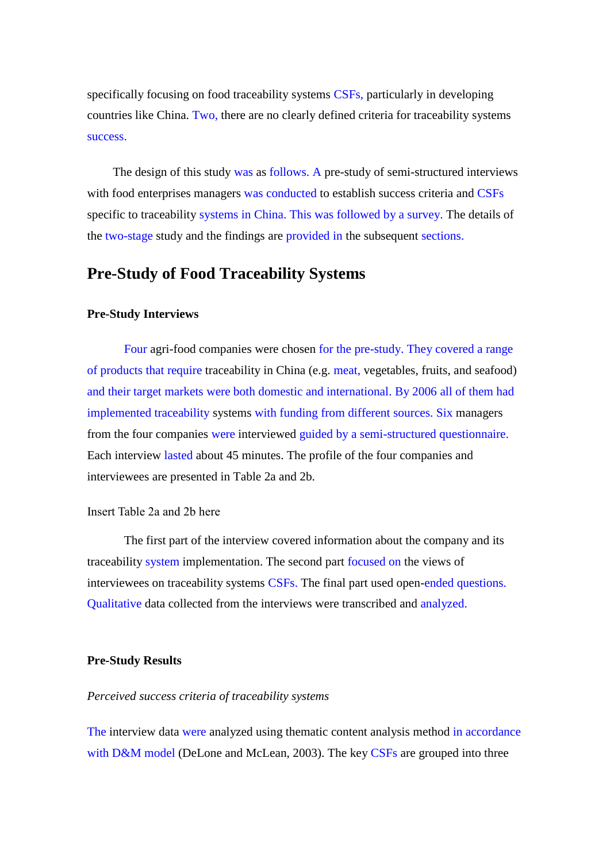specifically focusing on food traceability systems CSFs, particularly in developing countries like China. Two, there are no clearly defined criteria for traceability systems success.

The design of this study was as follows. A pre-study of semi-structured interviews with food enterprises managers was conducted to establish success criteria and CSFs specific to traceability systems in China. This was followed by a survey. The details of the two-stage study and the findings are provided in the subsequent sections.

### **Pre-Study of Food Traceability Systems**

#### **Pre-Study Interviews**

Four agri-food companies were chosen for the pre-study. They covered a range of products that require traceability in China (e.g. meat, vegetables, fruits, and seafood) and their target markets were both domestic and international. By 2006 all of them had implemented traceability systems with funding from different sources. Six managers from the four companies were interviewed guided by a semi-structured questionnaire. Each interview lasted about 45 minutes. The profile of the four companies and interviewees are presented in Table 2a and 2b.

### Insert Table 2a and 2b here

The first part of the interview covered information about the company and its traceability system implementation. The second part focused on the views of interviewees on traceability systems CSFs. The final part used open-ended questions. Qualitative data collected from the interviews were transcribed and analyzed.

#### **Pre-Study Results**

### *Perceived success criteria of traceability systems*

The interview data were analyzed using thematic content analysis method in accordance with D&M model (DeLone and McLean, 2003). The key CSFs are grouped into three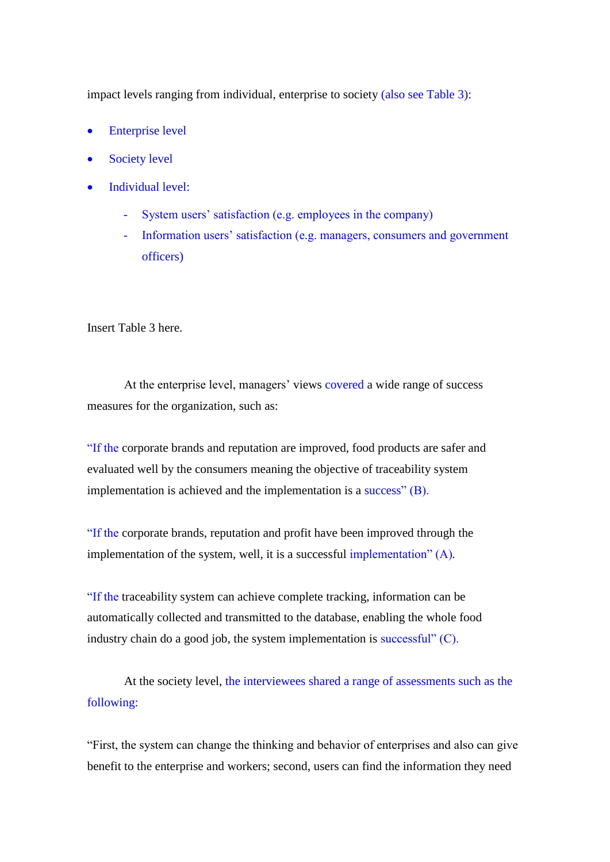impact levels ranging from individual, enterprise to society (also see Table 3):

- Enterprise level
- Society level
- Individual level:
	- System users' satisfaction (e.g. employees in the company)
	- Information users' satisfaction (e.g. managers, consumers and government officers)

Insert Table 3 here.

At the enterprise level, managers' views covered a wide range of success measures for the organization, such as:

"If the corporate brands and reputation are improved, food products are safer and evaluated well by the consumers meaning the objective of traceability system implementation is achieved and the implementation is a success" (B).

"If the corporate brands, reputation and profit have been improved through the implementation of the system, well, it is a successful implementation" (A)*.*

"If the traceability system can achieve complete tracking, information can be automatically collected and transmitted to the database, enabling the whole food industry chain do a good job, the system implementation is successful" (C).

At the society level, the interviewees shared a range of assessments such as the following:

"First, the system can change the thinking and behavior of enterprises and also can give benefit to the enterprise and workers; second, users can find the information they need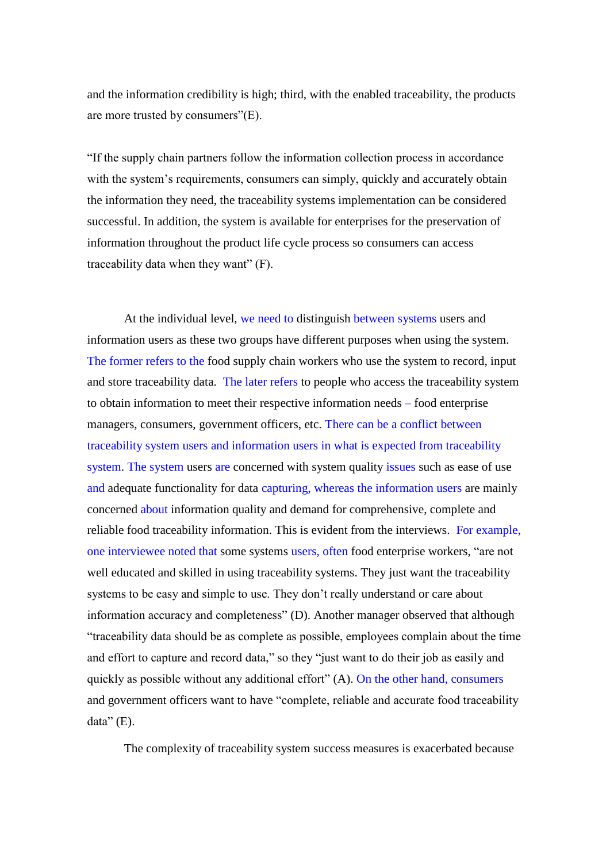and the information credibility is high; third, with the enabled traceability, the products are more trusted by consumers"(E).

"If the supply chain partners follow the information collection process in accordance with the system's requirements, consumers can simply, quickly and accurately obtain the information they need, the traceability systems implementation can be considered successful. In addition, the system is available for enterprises for the preservation of information throughout the product life cycle process so consumers can access traceability data when they want" (F).

At the individual level, we need to distinguish between systems users and information users as these two groups have different purposes when using the system. The former refers to the food supply chain workers who use the system to record, input and store traceability data. The later refers to people who access the traceability system to obtain information to meet their respective information needs – food enterprise managers, consumers, government officers, etc. There can be a conflict between traceability system users and information users in what is expected from traceability system. The system users are concerned with system quality issues such as ease of use and adequate functionality for data capturing, whereas the information users are mainly concerned about information quality and demand for comprehensive, complete and reliable food traceability information. This is evident from the interviews. For example, one interviewee noted that some systems users, often food enterprise workers, "are not well educated and skilled in using traceability systems. They just want the traceability systems to be easy and simple to use. They don't really understand or care about information accuracy and completeness" (D). Another manager observed that although "traceability data should be as complete as possible, employees complain about the time and effort to capture and record data," so they "just want to do their job as easily and quickly as possible without any additional effort" (A). On the other hand, consumers and government officers want to have "complete, reliable and accurate food traceability  $data''(E)$ .

The complexity of traceability system success measures is exacerbated because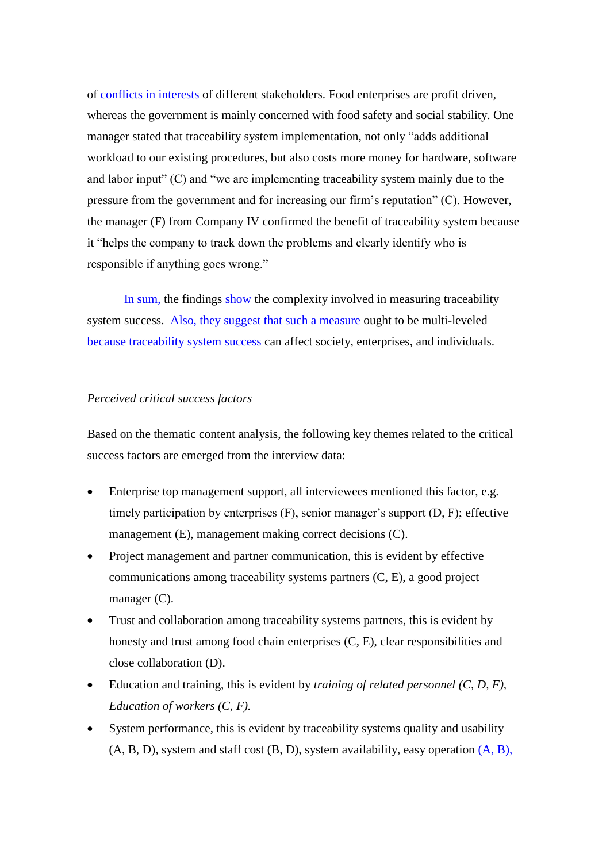of conflicts in interests of different stakeholders. Food enterprises are profit driven, whereas the government is mainly concerned with food safety and social stability. One manager stated that traceability system implementation, not only "adds additional workload to our existing procedures, but also costs more money for hardware, software and labor input" (C) and "we are implementing traceability system mainly due to the pressure from the government and for increasing our firm's reputation" (C). However, the manager (F) from Company IV confirmed the benefit of traceability system because it "helps the company to track down the problems and clearly identify who is responsible if anything goes wrong."

In sum, the findings show the complexity involved in measuring traceability system success. Also, they suggest that such a measure ought to be multi-leveled because traceability system success can affect society, enterprises, and individuals.

#### *Perceived critical success factors*

Based on the thematic content analysis, the following key themes related to the critical success factors are emerged from the interview data:

- Enterprise top management support, all interviewees mentioned this factor, e.g. timely participation by enterprises (F), senior manager's support (D, F); effective management (E), management making correct decisions (C).
- Project management and partner communication, this is evident by effective communications among traceability systems partners (C, E), a good project manager (C).
- Trust and collaboration among traceability systems partners, this is evident by honesty and trust among food chain enterprises (C, E), clear responsibilities and close collaboration (D).
- Education and training, this is evident by *training of related personnel (C, D, F), Education of workers (C, F).*
- System performance, this is evident by traceability systems quality and usability (A, B, D), system and staff cost (B, D), system availability, easy operation (A, B),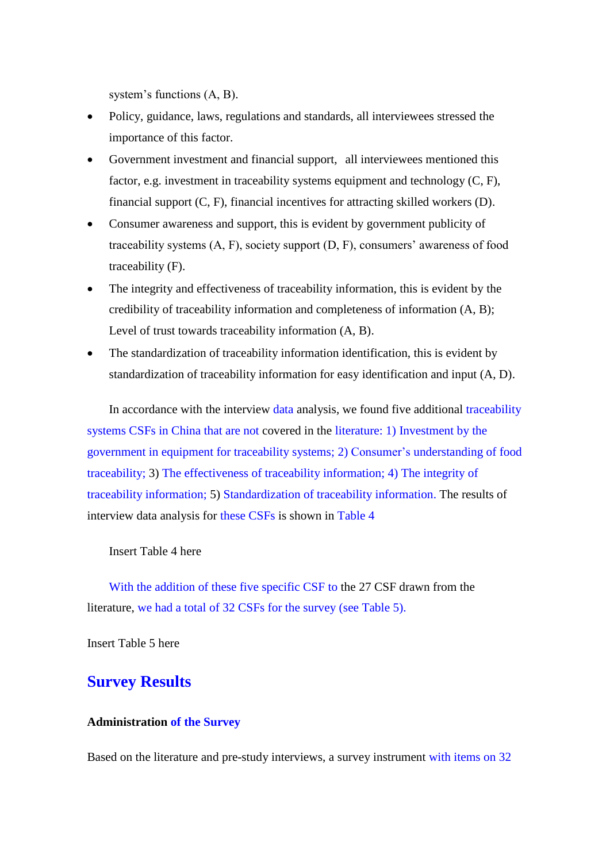system's functions (A, B).

- Policy, guidance, laws, regulations and standards, all interviewees stressed the importance of this factor.
- Government investment and financial support, all interviewees mentioned this factor, e.g. investment in traceability systems equipment and technology (C, F), financial support (C, F), financial incentives for attracting skilled workers (D).
- Consumer awareness and support, this is evident by government publicity of traceability systems (A, F), society support (D, F), consumers' awareness of food traceability (F).
- The integrity and effectiveness of traceability information, this is evident by the credibility of traceability information and completeness of information (A, B); Level of trust towards traceability information (A, B).
- The standardization of traceability information identification, this is evident by standardization of traceability information for easy identification and input (A, D).

In accordance with the interview data analysis, we found five additional traceability systems CSFs in China that are not covered in the literature: 1) Investment by the government in equipment for traceability systems; 2) Consumer's understanding of food traceability; 3) The effectiveness of traceability information; 4) The integrity of traceability information; 5) Standardization of traceability information. The results of interview data analysis for these CSFs is shown in Table 4

Insert Table 4 here

With the addition of these five specific CSF to the 27 CSF drawn from the literature, we had a total of 32 CSFs for the survey (see Table 5).

Insert Table 5 here

### **Survey Results**

#### **Administration of the Survey**

Based on the literature and pre-study interviews, a survey instrument with items on 32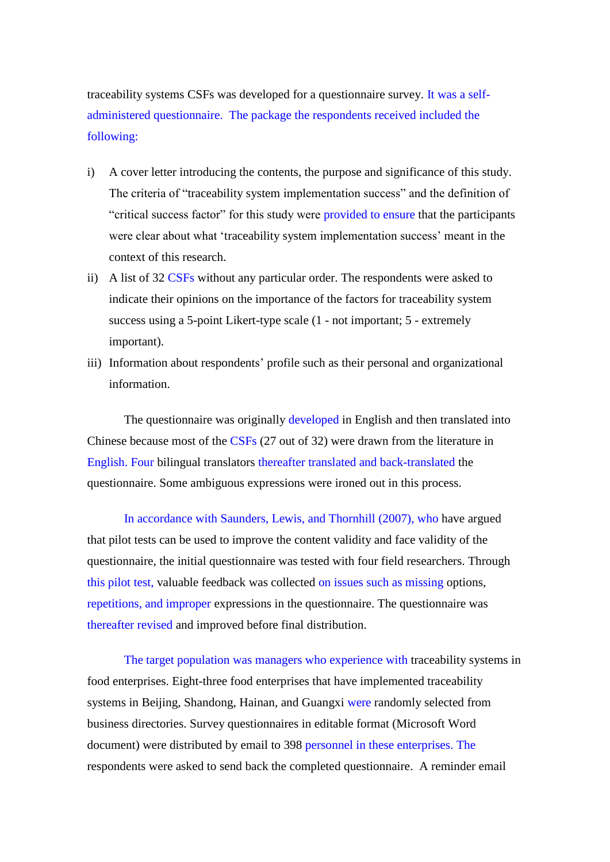traceability systems CSFs was developed for a questionnaire survey. It was a selfadministered questionnaire. The package the respondents received included the following:

- i) A cover letter introducing the contents, the purpose and significance of this study. The criteria of "traceability system implementation success" and the definition of "critical success factor" for this study were provided to ensure that the participants were clear about what 'traceability system implementation success' meant in the context of this research.
- ii) A list of 32 CSFs without any particular order. The respondents were asked to indicate their opinions on the importance of the factors for traceability system success using a 5-point Likert-type scale (1 - not important; 5 - extremely important).
- iii) Information about respondents' profile such as their personal and organizational information.

The questionnaire was originally developed in English and then translated into Chinese because most of the CSFs (27 out of 32) were drawn from the literature in English. Four bilingual translators thereafter translated and back-translated the questionnaire. Some ambiguous expressions were ironed out in this process.

In accordance with Saunders, Lewis, and Thornhill [\(2007\)](#page-28-11), who have argued that pilot tests can be used to improve the content validity and face validity of the questionnaire, the initial questionnaire was tested with four field researchers. Through this pilot test, valuable feedback was collected on issues such as missing options, repetitions, and improper expressions in the questionnaire. The questionnaire was thereafter revised and improved before final distribution.

The target population was managers who experience with traceability systems in food enterprises. Eight-three food enterprises that have implemented traceability systems in Beijing, Shandong, Hainan, and Guangxi were randomly selected from business directories. Survey questionnaires in editable format (Microsoft Word document) were distributed by email to 398 personnel in these enterprises. The respondents were asked to send back the completed questionnaire. A reminder email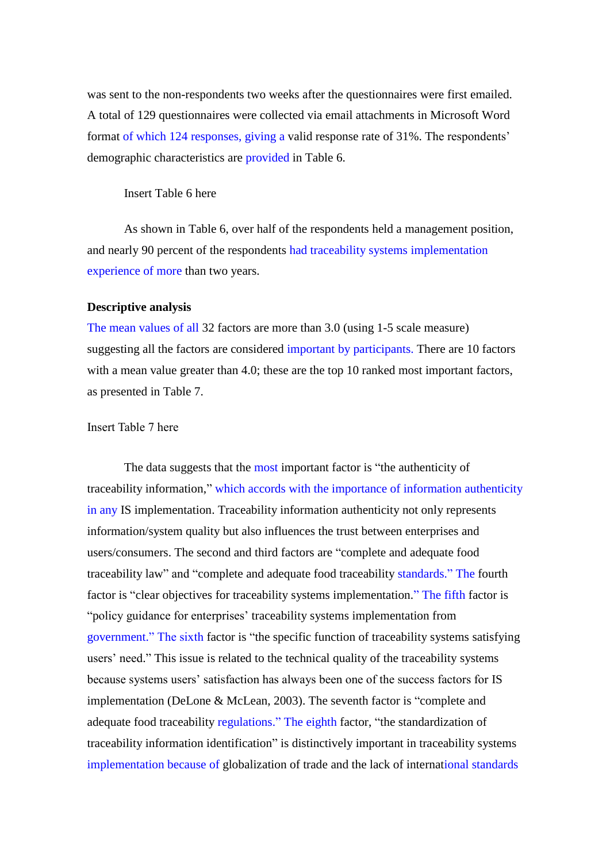was sent to the non-respondents two weeks after the questionnaires were first emailed. A total of 129 questionnaires were collected via email attachments in Microsoft Word format of which 124 responses, giving a valid response rate of 31%. The respondents' demographic characteristics are provided in Table 6.

#### Insert Table 6 here

As shown in Table 6, over half of the respondents held a management position, and nearly 90 percent of the respondents had traceability systems implementation experience of more than two years.

#### **Descriptive analysis**

The mean values of all 32 factors are more than 3.0 (using 1-5 scale measure) suggesting all the factors are considered important by participants. There are 10 factors with a mean value greater than 4.0; these are the top 10 ranked most important factors, as presented in Table 7.

### Insert Table 7 here

The data suggests that the most important factor is "the authenticity of traceability information," which accords with the importance of information authenticity in any IS implementation. Traceability information authenticity not only represents information/system quality but also influences the trust between enterprises and users/consumers. The second and third factors are "complete and adequate food traceability law" and "complete and adequate food traceability standards." The fourth factor is "clear objectives for traceability systems implementation." The fifth factor is "policy guidance for enterprises' traceability systems implementation from government." The sixth factor is "the specific function of traceability systems satisfying users' need." This issue is related to the technical quality of the traceability systems because systems users' satisfaction has always been one of the success factors for IS implementation [\(DeLone & McLean, 2003\)](#page-26-11). The seventh factor is "complete and adequate food traceability regulations." The eighth factor, "the standardization of traceability information identification" is distinctively important in traceability systems implementation because of globalization of trade and the lack of international standards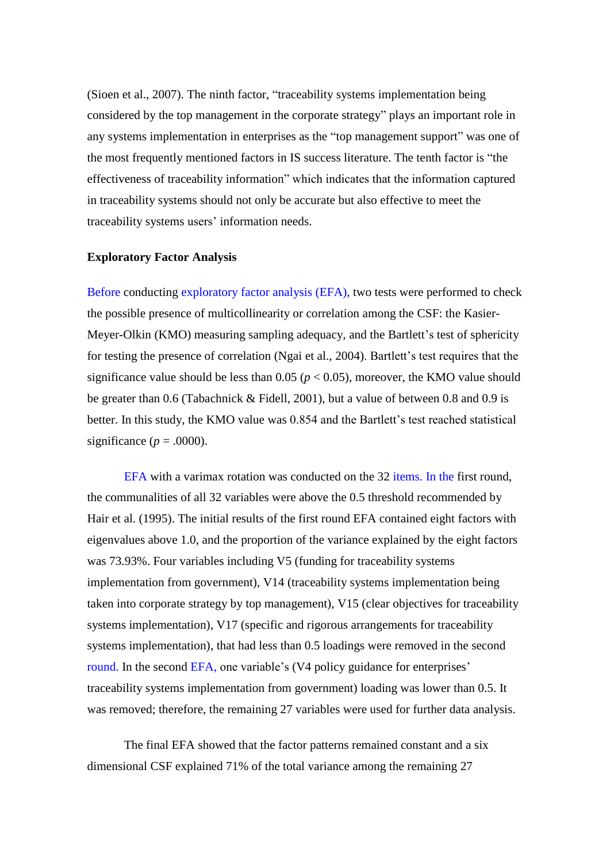[\(Sioen et al., 2007\)](#page-28-4). The ninth factor, "traceability systems implementation being considered by the top management in the corporate strategy" plays an important role in any systems implementation in enterprises as the "top management support" was one of the most frequently mentioned factors in IS success literature. The tenth factor is "the effectiveness of traceability information" which indicates that the information captured in traceability systems should not only be accurate but also effective to meet the traceability systems users' information needs.

#### **Exploratory Factor Analysis**

Before conducting exploratory factor analysis (EFA), two tests were performed to check the possible presence of multicollinearity or correlation among the CSF: the Kasier-Meyer-Olkin (KMO) measuring sampling adequacy, and the Bartlett's test of sphericity for testing the presence of correlation [\(Ngai et al., 2004\)](#page-28-12). Bartlett's test requires that the significance value should be less than  $0.05$  ( $p < 0.05$ ), moreover, the KMO value should be greater than 0.6 [\(Tabachnick & Fidell, 2001\)](#page-29-10), but a value of between 0.8 and 0.9 is better. In this study, the KMO value was 0.854 and the Bartlett's test reached statistical significance ( $p = .0000$ ).

EFA with a varimax rotation was conducted on the 32 items. In the first round, the communalities of all 32 variables were above the 0.5 threshold recommended by Hair et al. (1995). The initial results of the first round EFA contained eight factors with eigenvalues above 1.0, and the proportion of the variance explained by the eight factors was 73.93%. Four variables including V5 (funding for traceability systems implementation from government), V14 (traceability systems implementation being taken into corporate strategy by top management), V15 (clear objectives for traceability systems implementation), V17 (specific and rigorous arrangements for traceability systems implementation), that had less than 0.5 loadings were removed in the second round. In the second EFA, one variable's (V4 policy guidance for enterprises' traceability systems implementation from government) loading was lower than 0.5. It was removed; therefore, the remaining 27 variables were used for further data analysis.

The final EFA showed that the factor patterns remained constant and a six dimensional CSF explained 71% of the total variance among the remaining 27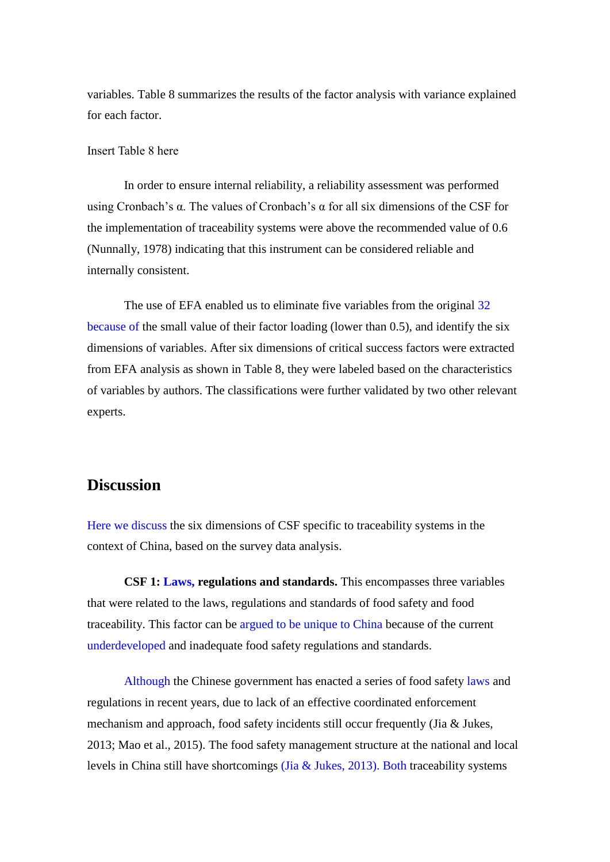variables. Table 8 summarizes the results of the factor analysis with variance explained for each factor.

### Insert Table 8 here

In order to ensure internal reliability, a reliability assessment was performed using Cronbach's  $\alpha$ . The values of Cronbach's  $\alpha$  for all six dimensions of the CSF for the implementation of traceability systems were above the recommended value of 0.6 [\(Nunnally, 1978\)](#page-28-13) indicating that this instrument can be considered reliable and internally consistent.

The use of EFA enabled us to eliminate five variables from the original 32 because of the small value of their factor loading (lower than 0.5), and identify the six dimensions of variables. After six dimensions of critical success factors were extracted from EFA analysis as shown in Table 8, they were labeled based on the characteristics of variables by authors. The classifications were further validated by two other relevant experts.

### **Discussion**

Here we discuss the six dimensions of CSF specific to traceability systems in the context of China, based on the survey data analysis.

**CSF 1: Laws, regulations and standards.** This encompasses three variables that were related to the laws, regulations and standards of food safety and food traceability. This factor can be argued to be unique to China because of the current underdeveloped and inadequate food safety regulations and standards.

Although the Chinese government has enacted a series of food safety laws and regulations in recent years, due to lack of an effective coordinated enforcement mechanism and approach, food safety incidents still occur frequently [\(Jia & Jukes,](#page-27-2)  [2013;](#page-27-2) [Mao et al., 2015\)](#page-27-3). The food safety management structure at the national and local levels in China still have shortcomings [\(Jia & Jukes, 2013\)](#page-27-2). Both traceability systems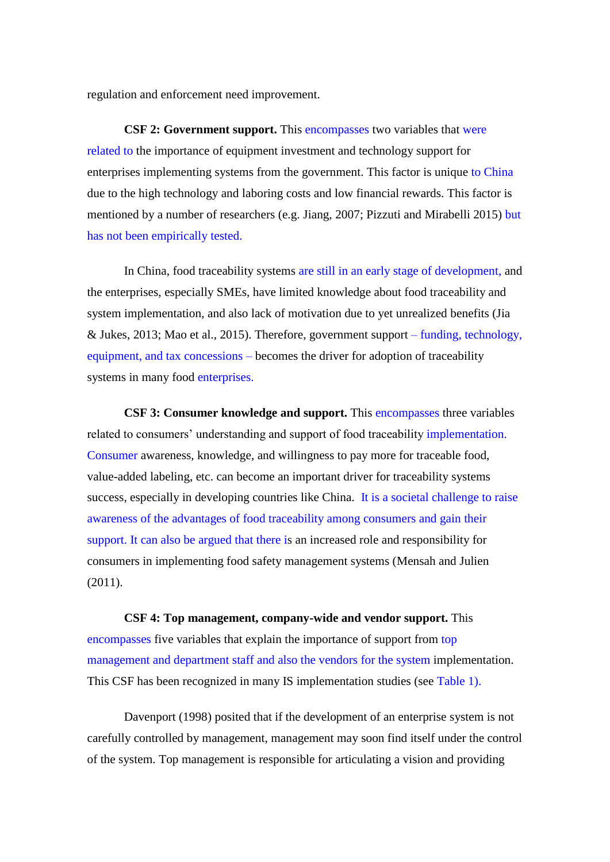regulation and enforcement need improvement.

**CSF 2: Government support.** This encompasses two variables that were related to the importance of equipment investment and technology support for enterprises implementing systems from the government. This factor is unique to China due to the high technology and laboring costs and low financial rewards. This factor is mentioned by a number of researchers (e.g. Jiang, 2007; Pizzuti and Mirabelli 2015) but has not been empirically tested.

In China, food traceability systems are still in an early stage of development, and the enterprises, especially SMEs, have limited knowledge about food traceability and system implementation, and also lack of motivation due to yet unrealized benefits [\(Jia](#page-27-2)  [& Jukes, 2013;](#page-27-2) [Mao et al., 2015\)](#page-27-3). Therefore, government support – funding, technology, equipment, and tax concessions – becomes the driver for adoption of traceability systems in many food enterprises.

**CSF 3: Consumer knowledge and support.** This encompasses three variables related to consumers' understanding and support of food traceability implementation. Consumer awareness, knowledge, and willingness to pay more for traceable food, value-added labeling, etc. can become an important driver for traceability systems success, especially in developing countries like China. It is a societal challenge to raise awareness of the advantages of food traceability among consumers and gain their support. It can also be argued that there is an increased role and responsibility for consumers in implementing food safety management systems [\(Mensah and Julien](#page-28-14)  (2011).

**CSF 4: Top management, company-wide and vendor support.** This encompasses five variables that explain the importance of support from top management and department staff and also the vendors for the system implementation. This CSF has been recognized in many IS implementation studies (see Table 1).

Davenport [\(1998\)](#page-26-12) posited that if the development of an enterprise system is not carefully controlled by management, management may soon find itself under the control of the system. Top management is responsible for articulating a vision and providing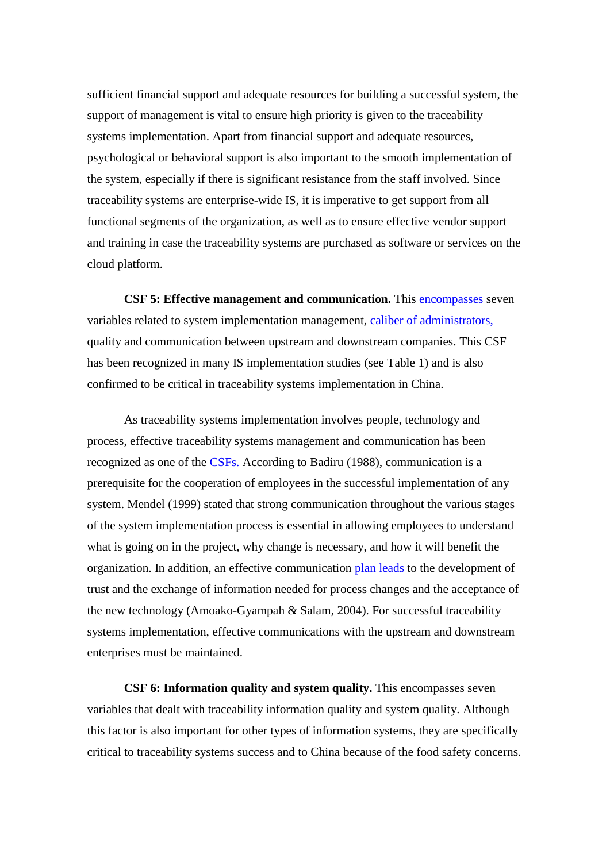sufficient financial support and adequate resources for building a successful system, the support of management is vital to ensure high priority is given to the traceability systems implementation. Apart from financial support and adequate resources, psychological or behavioral support is also important to the smooth implementation of the system, especially if there is significant resistance from the staff involved. Since traceability systems are enterprise-wide IS, it is imperative to get support from all functional segments of the organization, as well as to ensure effective vendor support and training in case the traceability systems are purchased as software or services on the cloud platform.

**CSF 5: Effective management and communication.** This encompasses seven variables related to system implementation management, caliber of administrators, quality and communication between upstream and downstream companies. This CSF has been recognized in many IS implementation studies (see Table 1) and is also confirmed to be critical in traceability systems implementation in China.

As traceability systems implementation involves people, technology and process, effective traceability systems management and communication has been recognized as one of the CSFs. According to Badiru [\(1988\)](#page-25-8), communication is a prerequisite for the cooperation of employees in the successful implementation of any system. Mendel [\(1999\)](#page-27-16) stated that strong communication throughout the various stages of the system implementation process is essential in allowing employees to understand what is going on in the project, why change is necessary, and how it will benefit the organization. In addition, an effective communication plan leads to the development of trust and the exchange of information needed for process changes and the acceptance of the new technology [\(Amoako-Gyampah & Salam, 2004\)](#page-25-9). For successful traceability systems implementation, effective communications with the upstream and downstream enterprises must be maintained.

**CSF 6: Information quality and system quality.** This encompasses seven variables that dealt with traceability information quality and system quality. Although this factor is also important for other types of information systems, they are specifically critical to traceability systems success and to China because of the food safety concerns.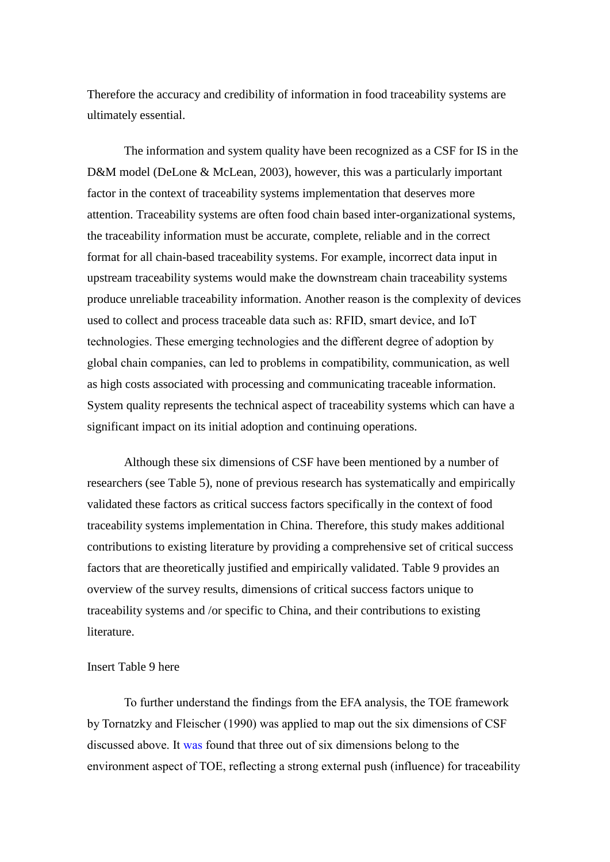Therefore the accuracy and credibility of information in food traceability systems are ultimately essential.

The information and system quality have been recognized as a CSF for IS in the D&M model [\(DeLone & McLean, 2003\)](#page-26-11), however, this was a particularly important factor in the context of traceability systems implementation that deserves more attention. Traceability systems are often food chain based inter-organizational systems, the traceability information must be accurate, complete, reliable and in the correct format for all chain-based traceability systems. For example, incorrect data input in upstream traceability systems would make the downstream chain traceability systems produce unreliable traceability information. Another reason is the complexity of devices used to collect and process traceable data such as: RFID, smart device, and IoT technologies. These emerging technologies and the different degree of adoption by global chain companies, can led to problems in compatibility, communication, as well as high costs associated with processing and communicating traceable information. System quality represents the technical aspect of traceability systems which can have a significant impact on its initial adoption and continuing operations.

Although these six dimensions of CSF have been mentioned by a number of researchers (see Table 5), none of previous research has systematically and empirically validated these factors as critical success factors specifically in the context of food traceability systems implementation in China. Therefore, this study makes additional contributions to existing literature by providing a comprehensive set of critical success factors that are theoretically justified and empirically validated. Table 9 provides an overview of the survey results, dimensions of critical success factors unique to traceability systems and /or specific to China, and their contributions to existing literature.

### Insert Table 9 here

To further understand the findings from the EFA analysis, the TOE framework by Tornatzky and Fleischer (1990) was applied to map out the six dimensions of CSF discussed above. It was found that three out of six dimensions belong to the environment aspect of TOE, reflecting a strong external push (influence) for traceability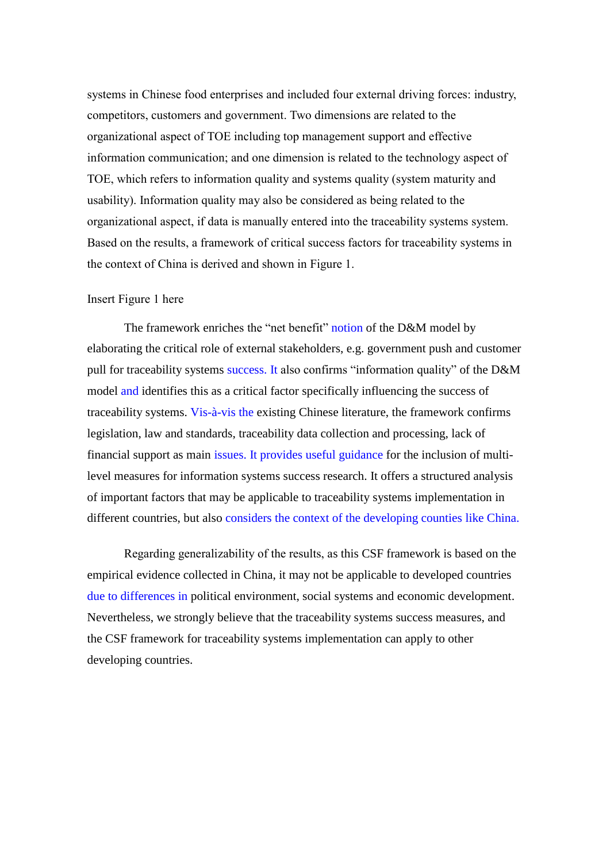systems in Chinese food enterprises and included four external driving forces: industry, competitors, customers and government. Two dimensions are related to the organizational aspect of TOE including top management support and effective information communication; and one dimension is related to the technology aspect of TOE, which refers to information quality and systems quality (system maturity and usability). Information quality may also be considered as being related to the organizational aspect, if data is manually entered into the traceability systems system. Based on the results, a framework of critical success factors for traceability systems in the context of China is derived and shown in Figure 1.

#### Insert Figure 1 here

The framework enriches the "net benefit" notion of the D&M model by elaborating the critical role of external stakeholders, e.g. government push and customer pull for traceability systems success. It also confirms "information quality" of the D&M model and identifies this as a critical factor specifically influencing the success of traceability systems. Vis-à-vis the existing Chinese literature, the framework confirms legislation, law and standards, traceability data collection and processing, lack of financial support as main issues. It provides useful guidance for the inclusion of multilevel measures for information systems success research. It offers a structured analysis of important factors that may be applicable to traceability systems implementation in different countries, but also considers the context of the developing counties like China.

Regarding generalizability of the results, as this CSF framework is based on the empirical evidence collected in China, it may not be applicable to developed countries due to differences in political environment, social systems and economic development. Nevertheless, we strongly believe that the traceability systems success measures, and the CSF framework for traceability systems implementation can apply to other developing countries.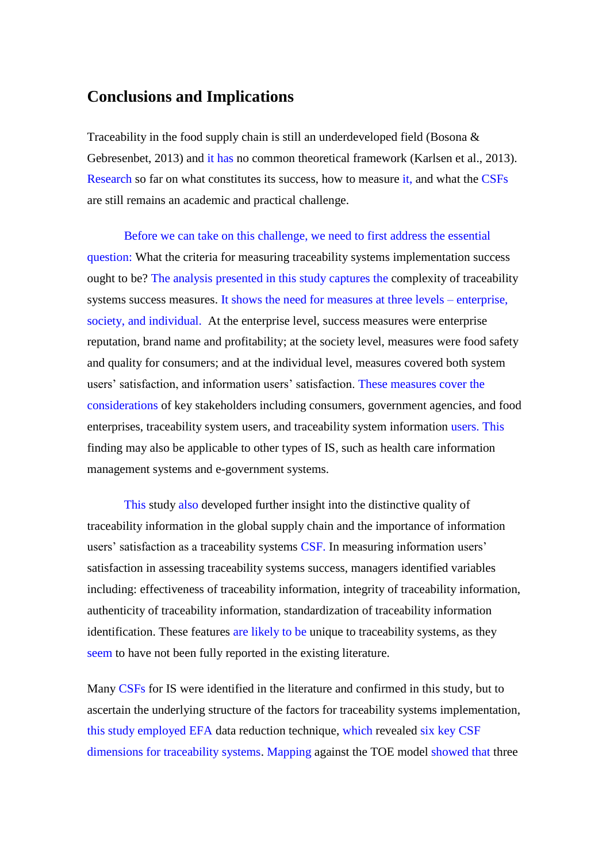### **Conclusions and Implications**

Traceability in the food supply chain is still an underdeveloped field [\(Bosona &](#page-25-3)  [Gebresenbet, 2013\)](#page-25-3) and it has no common theoretical framework [\(Karlsen et al., 2013\)](#page-27-4). Research so far on what constitutes its success, how to measure it, and what the CSFs are still remains an academic and practical challenge.

Before we can take on this challenge, we need to first address the essential question: What the criteria for measuring traceability systems implementation success ought to be? The analysis presented in this study captures the complexity of traceability systems success measures. It shows the need for measures at three levels – enterprise, society, and individual. At the enterprise level, success measures were enterprise reputation, brand name and profitability; at the society level, measures were food safety and quality for consumers; and at the individual level, measures covered both system users' satisfaction, and information users' satisfaction. These measures cover the considerations of key stakeholders including consumers, government agencies, and food enterprises, traceability system users, and traceability system information users. This finding may also be applicable to other types of IS, such as health care information management systems and e-government systems.

This study also developed further insight into the distinctive quality of traceability information in the global supply chain and the importance of information users' satisfaction as a traceability systems CSF. In measuring information users' satisfaction in assessing traceability systems success, managers identified variables including: effectiveness of traceability information, integrity of traceability information, authenticity of traceability information, standardization of traceability information identification. These features are likely to be unique to traceability systems, as they seem to have not been fully reported in the existing literature.

Many CSFs for IS were identified in the literature and confirmed in this study, but to ascertain the underlying structure of the factors for traceability systems implementation, this study employed EFA data reduction technique, which revealed six key CSF dimensions for traceability systems. Mapping against the TOE model showed that three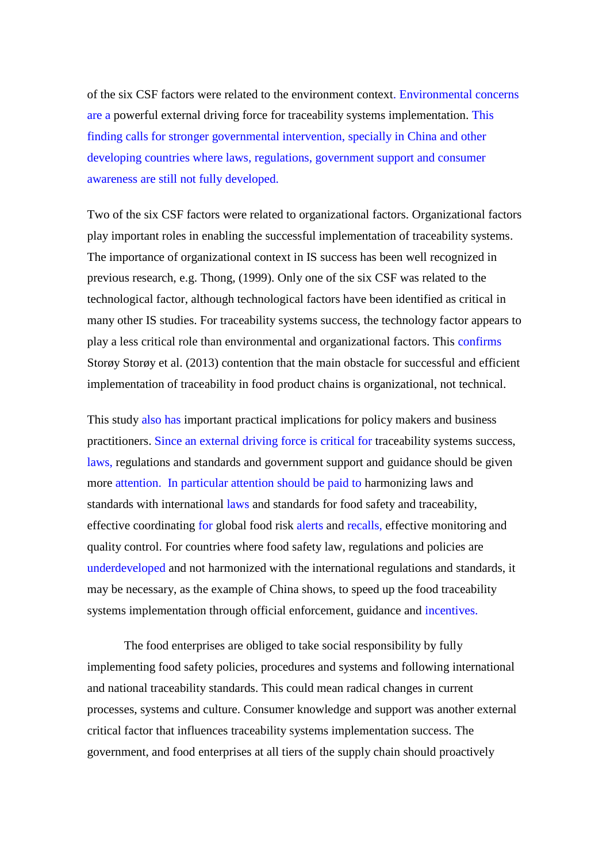of the six CSF factors were related to the environment context. Environmental concerns are a powerful external driving force for traceability systems implementation. This finding calls for stronger governmental intervention, specially in China and other developing countries where laws, regulations, government support and consumer awareness are still not fully developed.

Two of the six CSF factors were related to organizational factors. Organizational factors play important roles in enabling the successful implementation of traceability systems. The importance of organizational context in IS success has been well recognized in previous research, e.g. Thong, (1999). Only one of the six CSF was related to the technological factor, although technological factors have been identified as critical in many other IS studies. For traceability systems success, the technology factor appears to play a less critical role than environmental and organizational factors. This confirms Storøy [Storøy et al. \(2013\)](#page-28-6) contention that the main obstacle for successful and efficient implementation of traceability in food product chains is organizational, not technical.

This study also has important practical implications for policy makers and business practitioners. Since an external driving force is critical for traceability systems success, laws, regulations and standards and government support and guidance should be given more attention. In particular attention should be paid to harmonizing laws and standards with international laws and standards for food safety and traceability, effective coordinating for global food risk alerts and recalls, effective monitoring and quality control. For countries where food safety law, regulations and policies are underdeveloped and not harmonized with the international regulations and standards, it may be necessary, as the example of China shows, to speed up the food traceability systems implementation through official enforcement, guidance and incentives.

The food enterprises are obliged to take social responsibility by fully implementing food safety policies, procedures and systems and following international and national traceability standards. This could mean radical changes in current processes, systems and culture. Consumer knowledge and support was another external critical factor that influences traceability systems implementation success. The government, and food enterprises at all tiers of the supply chain should proactively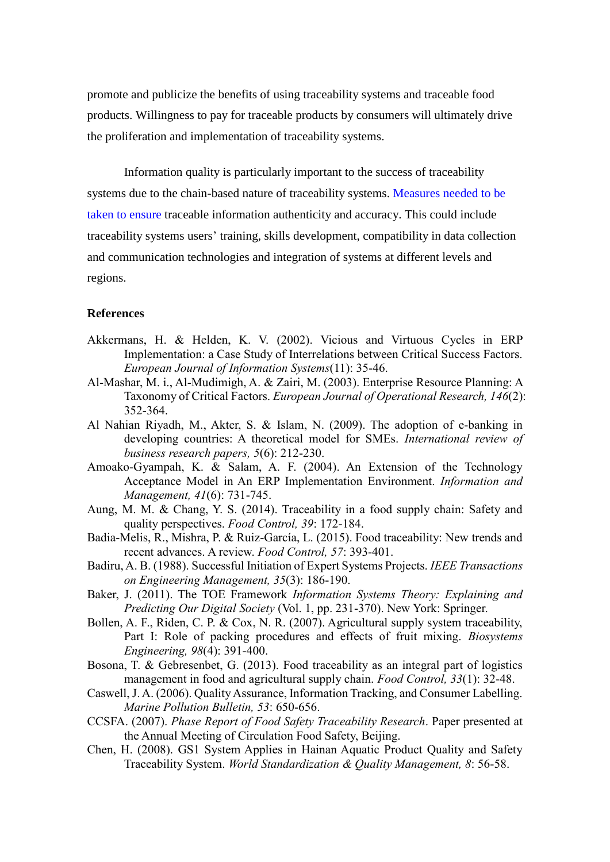promote and publicize the benefits of using traceability systems and traceable food products. Willingness to pay for traceable products by consumers will ultimately drive the proliferation and implementation of traceability systems.

Information quality is particularly important to the success of traceability systems due to the chain-based nature of traceability systems. Measures needed to be taken to ensure traceable information authenticity and accuracy. This could include traceability systems users' training, skills development, compatibility in data collection and communication technologies and integration of systems at different levels and regions.

#### **References**

- <span id="page-25-10"></span>Akkermans, H. & Helden, K. V. (2002). Vicious and Virtuous Cycles in ERP Implementation: a Case Study of Interrelations between Critical Success Factors. *European Journal of Information Systems*(11): 35-46.
- <span id="page-25-11"></span>Al-Mashar, M. i., Al-Mudimigh, A. & Zairi, M. (2003). Enterprise Resource Planning: A Taxonomy of Critical Factors. *European Journal of Operational Research, 146*(2): 352-364.
- <span id="page-25-7"></span>Al Nahian Riyadh, M., Akter, S. & Islam, N. (2009). The adoption of e-banking in developing countries: A theoretical model for SMEs. *International review of business research papers, 5*(6): 212-230.
- <span id="page-25-9"></span>Amoako-Gyampah, K. & Salam, A. F. (2004). An Extension of the Technology Acceptance Model in An ERP Implementation Environment. *Information and Management, 41*(6): 731-745.
- <span id="page-25-0"></span>Aung, M. M. & Chang, Y. S. (2014). Traceability in a food supply chain: Safety and quality perspectives. *Food Control, 39*: 172-184.
- <span id="page-25-1"></span>Badia-Melis, R., Mishra, P. & Ruiz-García, L. (2015). Food traceability: New trends and recent advances. A review. *Food Control, 57*: 393-401.
- <span id="page-25-8"></span>Badiru, A. B. (1988). Successful Initiation of Expert Systems Projects. *IEEE Transactions on Engineering Management, 35*(3): 186-190.
- <span id="page-25-6"></span>Baker, J. (2011). The TOE Framework *Information Systems Theory: Explaining and Predicting Our Digital Society* (Vol. 1, pp. 231-370). New York: Springer.
- <span id="page-25-4"></span>Bollen, A. F., Riden, C. P. & Cox, N. R. (2007). Agricultural supply system traceability, Part I: Role of packing procedures and effects of fruit mixing. *Biosystems Engineering, 98*(4): 391-400.
- <span id="page-25-3"></span>Bosona, T. & Gebresenbet, G. (2013). Food traceability as an integral part of logistics management in food and agricultural supply chain. *Food Control, 33*(1): 32-48.
- <span id="page-25-2"></span>Caswell, J. A. (2006). Quality Assurance, Information Tracking, and Consumer Labelling. *Marine Pollution Bulletin, 53*: 650-656.
- <span id="page-25-12"></span>CCSFA. (2007). *Phase Report of Food Safety Traceability Research*. Paper presented at the Annual Meeting of Circulation Food Safety, Beijing.
- <span id="page-25-5"></span>Chen, H. (2008). GS1 System Applies in Hainan Aquatic Product Quality and Safety Traceability System. *World Standardization & Quality Management, 8*: 56-58.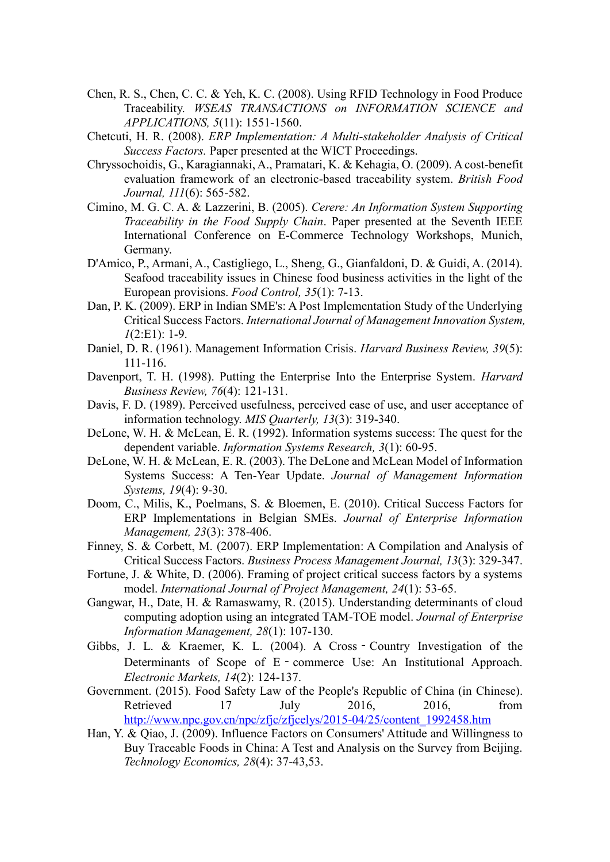- <span id="page-26-1"></span>Chen, R. S., Chen, C. C. & Yeh, K. C. (2008). Using RFID Technology in Food Produce Traceability. *WSEAS TRANSACTIONS on INFORMATION SCIENCE and APPLICATIONS, 5*(11): 1551-1560.
- <span id="page-26-16"></span>Chetcuti, H. R. (2008). *ERP Implementation: A Multi-stakeholder Analysis of Critical Success Factors.* Paper presented at the WICT Proceedings.
- <span id="page-26-2"></span>Chryssochoidis, G., Karagiannaki, A., Pramatari, K. & Kehagia, O. (2009). A cost-benefit evaluation framework of an electronic-based traceability system. *British Food Journal, 111*(6): 565-582.
- <span id="page-26-0"></span>Cimino, M. G. C. A. & Lazzerini, B. (2005). *Cerere: An Information System Supporting Traceability in the Food Supply Chain*. Paper presented at the Seventh IEEE International Conference on E-Commerce Technology Workshops, Munich, Germany.
- <span id="page-26-4"></span>D'Amico, P., Armani, A., Castigliego, L., Sheng, G., Gianfaldoni, D. & Guidi, A. (2014). Seafood traceability issues in Chinese food business activities in the light of the European provisions. *Food Control, 35*(1): 7-13.
- <span id="page-26-15"></span>Dan, P. K. (2009). ERP in Indian SME's: A Post Implementation Study of the Underlying Critical Success Factors. *International Journal of Management Innovation System, 1*(2:E1): 1-9.
- <span id="page-26-9"></span>Daniel, D. R. (1961). Management Information Crisis. *Harvard Business Review, 39*(5): 111-116.
- <span id="page-26-12"></span>Davenport, T. H. (1998). Putting the Enterprise Into the Enterprise System. *Harvard Business Review, 76*(4): 121-131.
- <span id="page-26-6"></span>Davis, F. D. (1989). Perceived usefulness, perceived ease of use, and user acceptance of information technology. *MIS Quarterly, 13*(3): 319-340.
- <span id="page-26-8"></span>DeLone, W. H. & McLean, E. R. (1992). Information systems success: The quest for the dependent variable. *Information Systems Research, 3*(1): 60-95.
- <span id="page-26-11"></span>DeLone, W. H. & McLean, E. R. (2003). The DeLone and McLean Model of Information Systems Success: A Ten-Year Update. *Journal of Management Information Systems, 19*(4): 9-30.
- <span id="page-26-14"></span>Doom, C., Milis, K., Poelmans, S. & Bloemen, E. (2010). Critical Success Factors for ERP Implementations in Belgian SMEs. *Journal of Enterprise Information Management, 23*(3): 378-406.
- <span id="page-26-13"></span>Finney, S. & Corbett, M. (2007). ERP Implementation: A Compilation and Analysis of Critical Success Factors. *Business Process Management Journal, 13*(3): 329-347.
- <span id="page-26-10"></span>Fortune, J. & White, D. (2006). Framing of project critical success factors by a systems model. *International Journal of Project Management, 24*(1): 53-65.
- <span id="page-26-7"></span>Gangwar, H., Date, H. & Ramaswamy, R. (2015). Understanding determinants of cloud computing adoption using an integrated TAM-TOE model. *Journal of Enterprise Information Management, 28*(1): 107-130.
- <span id="page-26-5"></span>Gibbs, J. L. & Kraemer, K. L. (2004). A Cross‐Country Investigation of the Determinants of Scope of E - commerce Use: An Institutional Approach. *Electronic Markets, 14*(2): 124-137.
- <span id="page-26-3"></span>Government. (2015). Food Safety Law of the People's Republic of China (in Chinese). Retrieved 17 July 2016, 2016, from [http://www.npc.gov.cn/npc/zfjc/zfjcelys/2015-04/25/content\\_1992458.htm](http://www.npc.gov.cn/npc/zfjc/zfjcelys/2015-04/25/content_1992458.htm)
- <span id="page-26-17"></span>Han, Y. & Qiao, J. (2009). Influence Factors on Consumers' Attitude and Willingness to Buy Traceable Foods in China: A Test and Analysis on the Survey from Beijing. *Technology Economics, 28*(4): 37-43,53.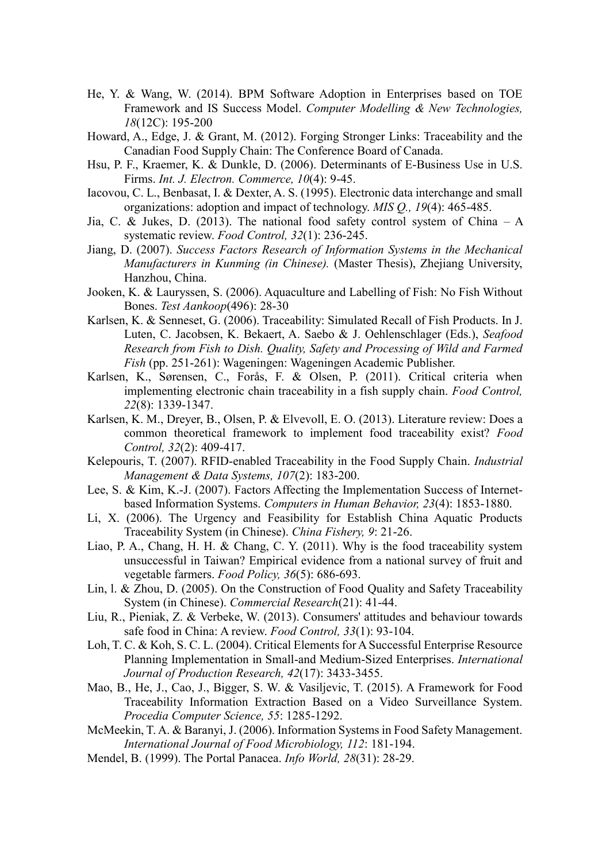- <span id="page-27-15"></span>He, Y. & Wang, W. (2014). BPM Software Adoption in Enterprises based on TOE Framework and IS Success Model. *Computer Modelling & New Technologies, 18*(12C): 195-200
- <span id="page-27-11"></span>Howard, A., Edge, J. & Grant, M. (2012). Forging Stronger Links: Traceability and the Canadian Food Supply Chain: The Conference Board of Canada.
- <span id="page-27-13"></span>Hsu, P. F., Kraemer, K. & Dunkle, D. (2006). Determinants of E-Business Use in U.S. Firms. *Int. J. Electron. Commerce, 10*(4): 9-45.
- <span id="page-27-14"></span>Iacovou, C. L., Benbasat, I. & Dexter, A. S. (1995). Electronic data interchange and small organizations: adoption and impact of technology. *MIS Q., 19*(4): 465-485.
- <span id="page-27-2"></span>Jia, C. & Jukes, D. (2013). The national food safety control system of China – A systematic review. *Food Control, 32*(1): 236-245.
- <span id="page-27-18"></span>Jiang, D. (2007). *Success Factors Research of Information Systems in the Mechanical Manufacturers in Kunming (in Chinese).* (Master Thesis), Zhejiang University, Hanzhou, China.
- <span id="page-27-8"></span>Jooken, K. & Lauryssen, S. (2006). Aquaculture and Labelling of Fish: No Fish Without Bones. *Test Aankoop*(496): 28-30
- <span id="page-27-9"></span>Karlsen, K. & Senneset, G. (2006). Traceability: Simulated Recall of Fish Products. In J. Luten, C. Jacobsen, K. Bekaert, A. Saebo & J. Oehlenschlager (Eds.), *Seafood Research from Fish to Dish. Quality, Safety and Processing of Wild and Farmed Fish* (pp. 251-261): Wageningen: Wageningen Academic Publisher.
- <span id="page-27-10"></span>Karlsen, K., Sørensen, C., Forås, F. & Olsen, P. (2011). Critical criteria when implementing electronic chain traceability in a fish supply chain. *Food Control, 22*(8): 1339-1347.
- <span id="page-27-4"></span>Karlsen, K. M., Dreyer, B., Olsen, P. & Elvevoll, E. O. (2013). Literature review: Does a common theoretical framework to implement food traceability exist? *Food Control, 32*(2): 409-417.
- <span id="page-27-7"></span>Kelepouris, T. (2007). RFID-enabled Traceability in the Food Supply Chain. *Industrial Management & Data Systems, 107*(2): 183-200.
- <span id="page-27-19"></span>Lee, S. & Kim, K.-J. (2007). Factors Affecting the Implementation Success of Internetbased Information Systems. *Computers in Human Behavior, 23*(4): 1853-1880.
- <span id="page-27-12"></span>Li, X. (2006). The Urgency and Feasibility for Establish China Aquatic Products Traceability System (in Chinese). *China Fishery, 9*: 21-26.
- <span id="page-27-0"></span>Liao, P. A., Chang, H. H. & Chang, C. Y. (2011). Why is the food traceability system unsuccessful in Taiwan? Empirical evidence from a national survey of fruit and vegetable farmers. *Food Policy, 36*(5): 686-693.
- <span id="page-27-5"></span>Lin, l. & Zhou, D. (2005). On the Construction of Food Quality and Safety Traceability System (in Chinese). *Commercial Research*(21): 41-44.
- <span id="page-27-1"></span>Liu, R., Pieniak, Z. & Verbeke, W. (2013). Consumers' attitudes and behaviour towards safe food in China: A review. *Food Control, 33*(1): 93-104.
- <span id="page-27-17"></span>Loh, T. C. & Koh, S. C. L. (2004). Critical Elements for A Successful Enterprise Resource Planning Implementation in Small-and Medium-Sized Enterprises. *International Journal of Production Research, 42*(17): 3433-3455.
- <span id="page-27-3"></span>Mao, B., He, J., Cao, J., Bigger, S. W. & Vasiljevic, T. (2015). A Framework for Food Traceability Information Extraction Based on a Video Surveillance System. *Procedia Computer Science, 55*: 1285-1292.
- <span id="page-27-6"></span>McMeekin, T. A. & Baranyi, J. (2006). Information Systems in Food Safety Management. *International Journal of Food Microbiology, 112*: 181-194.
- <span id="page-27-16"></span>Mendel, B. (1999). The Portal Panacea. *Info World, 28*(31): 28-29.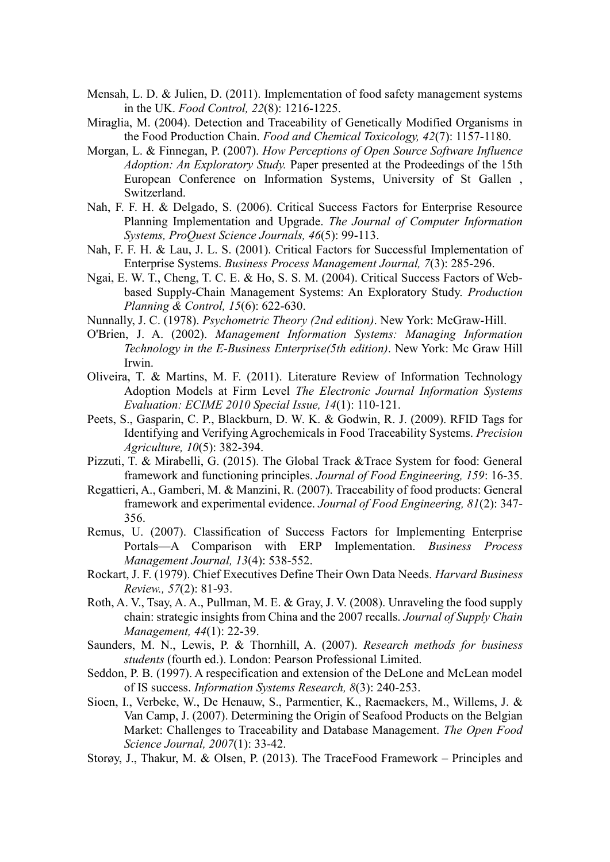- <span id="page-28-14"></span>Mensah, L. D. & Julien, D. (2011). Implementation of food safety management systems in the UK. *Food Control, 22*(8): 1216-1225.
- <span id="page-28-2"></span>Miraglia, M. (2004). Detection and Traceability of Genetically Modified Organisms in the Food Production Chain. *Food and Chemical Toxicology, 42*(7): 1157-1180.
- <span id="page-28-7"></span>Morgan, L. & Finnegan, P. (2007). *How Perceptions of Open Source Software Influence Adoption: An Exploratory Study.* Paper presented at the Prodeedings of the 15th European Conference on Information Systems, University of St Gallen , Switzerland.
- <span id="page-28-16"></span>Nah, F. F. H. & Delgado, S. (2006). Critical Success Factors for Enterprise Resource Planning Implementation and Upgrade. *The Journal of Computer Information Systems, ProQuest Science Journals, 46*(5): 99-113.
- <span id="page-28-15"></span>Nah, F. F. H. & Lau, J. L. S. (2001). Critical Factors for Successful Implementation of Enterprise Systems. *Business Process Management Journal, 7*(3): 285-296.
- <span id="page-28-12"></span>Ngai, E. W. T., Cheng, T. C. E. & Ho, S. S. M. (2004). Critical Success Factors of Webbased Supply-Chain Management Systems: An Exploratory Study. *Production Planning & Control, 15*(6): 622-630.
- <span id="page-28-13"></span>Nunnally, J. C. (1978). *Psychometric Theory (2nd edition)*. New York: McGraw-Hill.
- <span id="page-28-10"></span>O'Brien, J. A. (2002). *Management Information Systems: Managing Information Technology in the E-Business Enterprise(5th edition)*. New York: Mc Graw Hill Irwin.
- <span id="page-28-8"></span>Oliveira, T. & Martins, M. F. (2011). Literature Review of Information Technology Adoption Models at Firm Level *The Electronic Journal Information Systems Evaluation: ECIME 2010 Special Issue, 14*(1): 110-121.
- <span id="page-28-3"></span>Peets, S., Gasparin, C. P., Blackburn, D. W. K. & Godwin, R. J. (2009). RFID Tags for Identifying and Verifying Agrochemicals in Food Traceability Systems. *Precision Agriculture, 10*(5): 382-394.
- <span id="page-28-5"></span>Pizzuti, T. & Mirabelli, G. (2015). The Global Track &Trace System for food: General framework and functioning principles. *Journal of Food Engineering, 159*: 16-35.
- <span id="page-28-0"></span>Regattieri, A., Gamberi, M. & Manzini, R. (2007). Traceability of food products: General framework and experimental evidence. *Journal of Food Engineering, 81*(2): 347- 356.
- <span id="page-28-17"></span>Remus, U. (2007). Classification of Success Factors for Implementing Enterprise Portals—A Comparison with ERP Implementation. *Business Process Management Journal, 13*(4): 538-552.
- <span id="page-28-1"></span>Rockart, J. F. (1979). Chief Executives Define Their Own Data Needs. *Harvard Business Review., 57*(2): 81-93.
- <span id="page-28-18"></span>Roth, A. V., Tsay, A. A., Pullman, M. E. & Gray, J. V. (2008). Unraveling the food supply chain: strategic insights from China and the 2007 recalls. *Journal of Supply Chain Management, 44*(1): 22-39.
- <span id="page-28-11"></span>Saunders, M. N., Lewis, P. & Thornhill, A. (2007). *Research methods for business students* (fourth ed.). London: Pearson Professional Limited.
- <span id="page-28-9"></span>Seddon, P. B. (1997). A respecification and extension of the DeLone and McLean model of IS success. *Information Systems Research, 8*(3): 240-253.
- <span id="page-28-4"></span>Sioen, I., Verbeke, W., De Henauw, S., Parmentier, K., Raemaekers, M., Willems, J. & Van Camp, J. (2007). Determining the Origin of Seafood Products on the Belgian Market: Challenges to Traceability and Database Management. *The Open Food Science Journal, 2007*(1): 33-42.
- <span id="page-28-6"></span>Storøy, J., Thakur, M. & Olsen, P. (2013). The TraceFood Framework – Principles and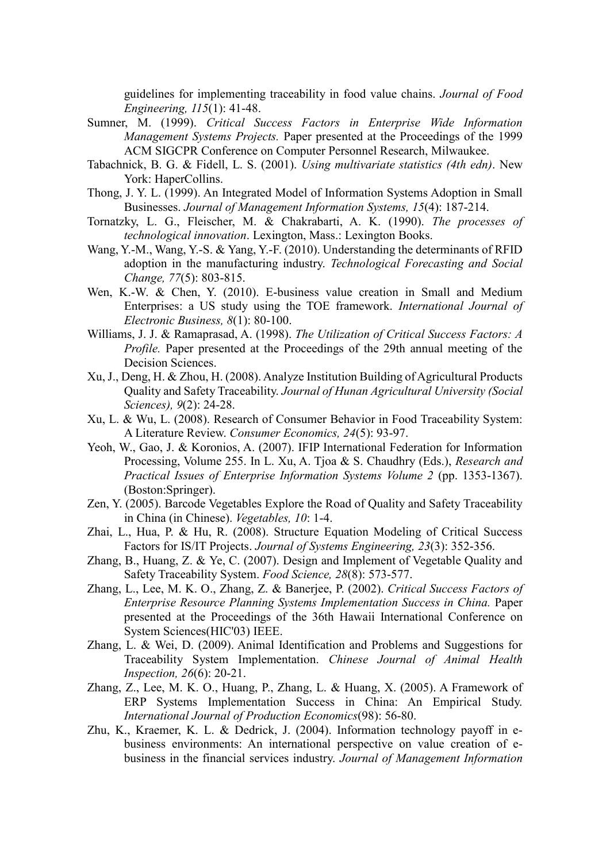guidelines for implementing traceability in food value chains. *Journal of Food Engineering, 115*(1): 41-48.

- <span id="page-29-13"></span>Sumner, M. (1999). *Critical Success Factors in Enterprise Wide Information Management Systems Projects.* Paper presented at the Proceedings of the 1999 ACM SIGCPR Conference on Computer Personnel Research, Milwaukee.
- <span id="page-29-10"></span>Tabachnick, B. G. & Fidell, L. S. (2001). *Using multivariate statistics (4th edn)*. New York: HaperCollins.
- <span id="page-29-4"></span>Thong, J. Y. L. (1999). An Integrated Model of Information Systems Adoption in Small Businesses. *Journal of Management Information Systems, 15*(4): 187-214.
- <span id="page-29-3"></span>Tornatzky, L. G., Fleischer, M. & Chakrabarti, A. K. (1990). *The processes of technological innovation*. Lexington, Mass.: Lexington Books.
- <span id="page-29-7"></span>Wang, Y.-M., Wang, Y.-S. & Yang, Y.-F. (2010). Understanding the determinants of RFID adoption in the manufacturing industry. *Technological Forecasting and Social Change, 77*(5): 803-815.
- <span id="page-29-5"></span>Wen, K.-W. & Chen, Y. (2010). E-business value creation in Small and Medium Enterprises: a US study using the TOE framework. *International Journal of Electronic Business, 8*(1): 80-100.
- <span id="page-29-8"></span>Williams, J. J. & Ramaprasad, A. (1998). *The Utilization of Critical Success Factors: A Profile.* Paper presented at the Proceedings of the 29th annual meeting of the Decision Sciences.
- <span id="page-29-1"></span>Xu, J., Deng, H. & Zhou, H. (2008). Analyze Institution Building of Agricultural Products Quality and Safety Traceability. *Journal of Hunan Agricultural University (Social Sciences), 9*(2): 24-28.
- <span id="page-29-15"></span>Xu, L. & Wu, L. (2008). Research of Consumer Behavior in Food Traceability System: A Literature Review. *Consumer Economics, 24*(5): 93-97.
- <span id="page-29-14"></span>Yeoh, W., Gao, J. & Koronios, A. (2007). IFIP International Federation for Information Processing, Volume 255. In L. Xu, A. Tjoa & S. Chaudhry (Eds.), *Research and Practical Issues of Enterprise Information Systems Volume 2* (pp. 1353-1367). (Boston:Springer).
- <span id="page-29-0"></span>Zen, Y. (2005). Barcode Vegetables Explore the Road of Quality and Safety Traceability in China (in Chinese). *Vegetables, 10*: 1-4.
- <span id="page-29-11"></span>Zhai, L., Hua, P. & Hu, R. (2008). Structure Equation Modeling of Critical Success Factors for IS/IT Projects. *Journal of Systems Engineering, 23*(3): 352-356.
- <span id="page-29-2"></span>Zhang, B., Huang, Z. & Ye, C. (2007). Design and Implement of Vegetable Quality and Safety Traceability System. *Food Science, 28*(8): 573-577.
- <span id="page-29-12"></span>Zhang, L., Lee, M. K. O., Zhang, Z. & Banerjee, P. (2002). *Critical Success Factors of Enterprise Resource Planning Systems Implementation Success in China.* Paper presented at the Proceedings of the 36th Hawaii International Conference on System Sciences(HIC'03) IEEE.
- <span id="page-29-16"></span>Zhang, L. & Wei, D. (2009). Animal Identification and Problems and Suggestions for Traceability System Implementation. *Chinese Journal of Animal Health Inspection, 26*(6): 20-21.
- <span id="page-29-9"></span>Zhang, Z., Lee, M. K. O., Huang, P., Zhang, L. & Huang, X. (2005). A Framework of ERP Systems Implementation Success in China: An Empirical Study. *International Journal of Production Economics*(98): 56-80.
- <span id="page-29-6"></span>Zhu, K., Kraemer, K. L. & Dedrick, J. (2004). Information technology payoff in ebusiness environments: An international perspective on value creation of ebusiness in the financial services industry. *Journal of Management Information*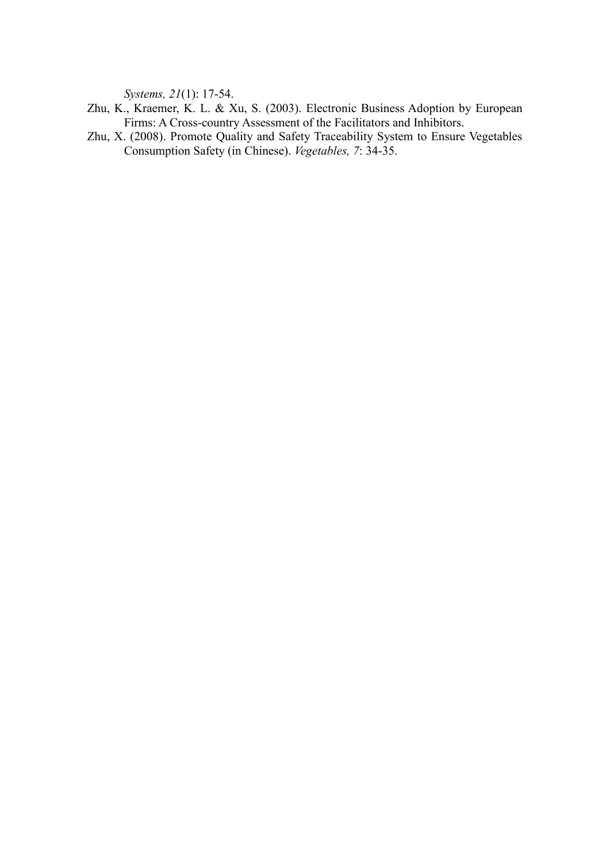*Systems, 21*(1): 17-54.

- <span id="page-30-1"></span>Zhu, K., Kraemer, K. L. & Xu, S. (2003). Electronic Business Adoption by European Firms: A Cross-country Assessment of the Facilitators and Inhibitors.
- <span id="page-30-0"></span>Zhu, X. (2008). Promote Quality and Safety Traceability System to Ensure Vegetables Consumption Safety (in Chinese). *Vegetables, 7*: 34-35.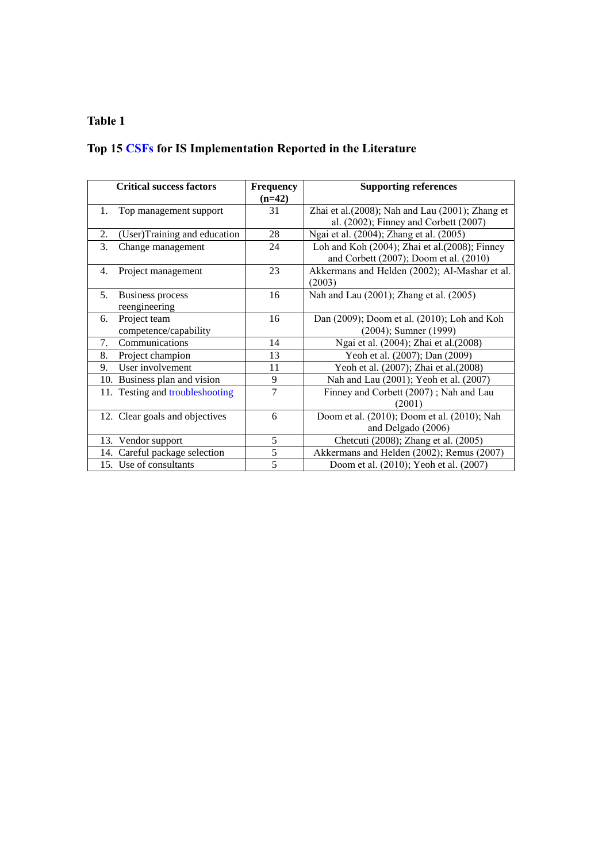# **Top 15 CSFs for IS Implementation Reported in the Literature**

| <b>Critical success factors</b>    | <b>Frequency</b> | <b>Supporting references</b>                     |
|------------------------------------|------------------|--------------------------------------------------|
|                                    | $(n=42)$         |                                                  |
| Top management support<br>1.       | 31               | Zhai et al. (2008); Nah and Lau (2001); Zhang et |
|                                    |                  | al. (2002); Finney and Corbett (2007)            |
| (User)Training and education<br>2. | 28               | Ngai et al. (2004); Zhang et al. (2005)          |
| 3.<br>Change management            | 24               | Loh and Koh (2004); Zhai et al. (2008); Finney   |
|                                    |                  | and Corbett (2007); Doom et al. (2010)           |
| Project management<br>4.           | 23               | Akkermans and Helden (2002); Al-Mashar et al.    |
|                                    |                  | (2003)                                           |
| <b>Business process</b><br>5.      | 16               | Nah and Lau (2001); Zhang et al. (2005)          |
| reengineering                      |                  |                                                  |
| Project team<br>6.                 | 16               | Dan (2009); Doom et al. (2010); Loh and Koh      |
| competence/capability              |                  | $(2004)$ ; Sumner $(1999)$                       |
| 7.<br>Communications               | 14               | Ngai et al. (2004); Zhai et al. (2008)           |
| 8.<br>Project champion             | 13               | Yeoh et al. (2007); Dan (2009)                   |
| User involvement<br>9.             | 11               | Yeoh et al. (2007); Zhai et al. (2008)           |
| 10. Business plan and vision       | 9                | Nah and Lau (2001); Yeoh et al. (2007)           |
| 11. Testing and troubleshooting    | 7                | Finney and Corbett (2007); Nah and Lau           |
|                                    |                  | (2001)                                           |
| 12. Clear goals and objectives     | 6                | Doom et al. (2010); Doom et al. (2010); Nah      |
|                                    |                  | and Delgado (2006)                               |
| 13. Vendor support                 | 5                | Chetcuti (2008); Zhang et al. (2005)             |
| 14. Careful package selection      | 5                | Akkermans and Helden (2002); Remus (2007)        |
| 15. Use of consultants             | 5                | Doom et al. (2010); Yeoh et al. (2007)           |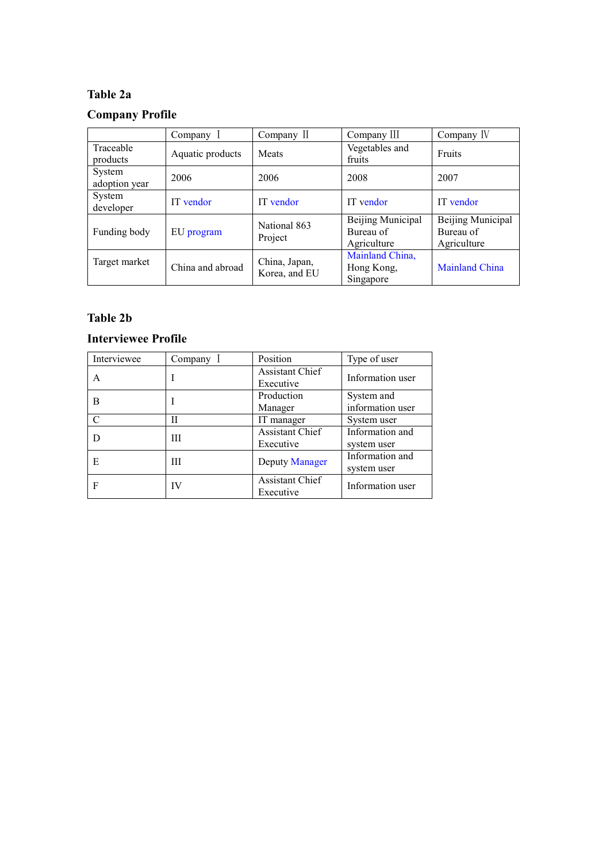### **Table 2a**

### **Company Profile**

|                         | Company 1        | Company II                     | Company III                                   | Company IV                                    |
|-------------------------|------------------|--------------------------------|-----------------------------------------------|-----------------------------------------------|
| Traceable<br>products   | Aquatic products | Meats                          | Vegetables and<br>fruits                      | Fruits                                        |
| System<br>adoption year | 2006             | 2006                           | 2008                                          | 2007                                          |
| System<br>developer     | IT vendor        | IT vendor                      | IT vendor                                     | IT vendor                                     |
| Funding body            | EU program       | National 863<br>Project        | Beijing Municipal<br>Bureau of<br>Agriculture | Beijing Municipal<br>Bureau of<br>Agriculture |
| Target market           | China and abroad | China, Japan,<br>Korea, and EU | Mainland China,<br>Hong Kong,<br>Singapore    | <b>Mainland China</b>                         |

### **Table 2b**

### **Interviewee Profile**

| Interviewee | Company | Position                     | Type of user                   |
|-------------|---------|------------------------------|--------------------------------|
| A           |         | Assistant Chief<br>Executive | Information user               |
| В           | I       | Production<br>Manager        | System and<br>information user |
| C           | Н       | IT manager                   | System user                    |
| D           | Ш       | Assistant Chief<br>Executive | Information and<br>system user |
| Е           | Ш       | Deputy Manager               | Information and<br>system user |
| F           |         | Assistant Chief<br>Executive | Information user               |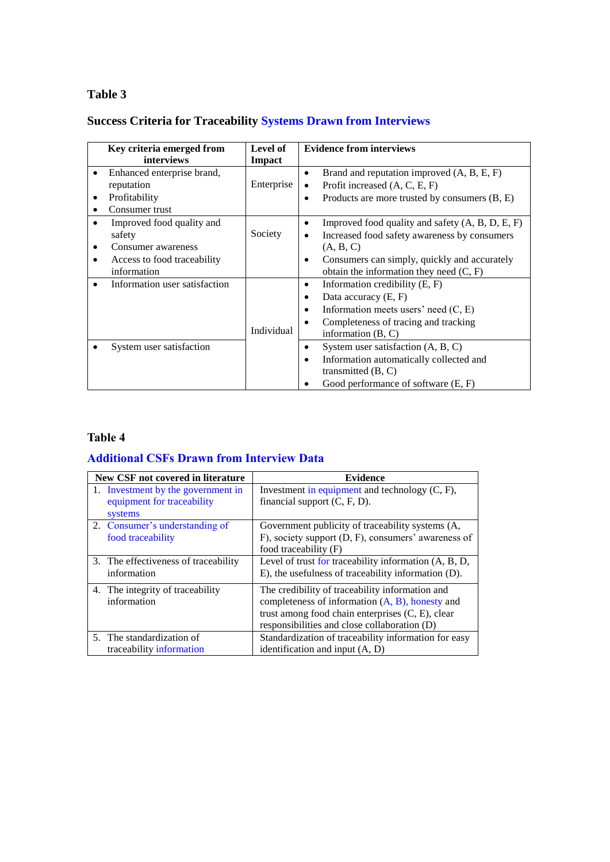# **Success Criteria for Traceability Systems Drawn from Interviews**

| Key criteria emerged from     | <b>Level of</b> | <b>Evidence from interviews</b>                      |  |  |
|-------------------------------|-----------------|------------------------------------------------------|--|--|
| interviews                    | Impact          |                                                      |  |  |
| Enhanced enterprise brand,    |                 | Brand and reputation improved $(A, B, E, F)$         |  |  |
| reputation                    | Enterprise      | Profit increased $(A, C, E, F)$                      |  |  |
| Profitability<br>٠            |                 | Products are more trusted by consumers $(B, E)$<br>٠ |  |  |
| Consumer trust                |                 |                                                      |  |  |
| Improved food quality and     |                 | Improved food quality and safety $(A, B, D, E, F)$   |  |  |
| safety                        | Society         | Increased food safety awareness by consumers<br>٠    |  |  |
| Consumer awareness            |                 | (A, B, C)                                            |  |  |
| Access to food traceability   |                 | Consumers can simply, quickly and accurately         |  |  |
| information                   |                 | obtain the information they need $(C, F)$            |  |  |
| Information user satisfaction |                 | Information credibility $(E, F)$<br>٠                |  |  |
|                               |                 | Data accuracy $(E, F)$                               |  |  |
|                               |                 | Information meets users' need (C, E)                 |  |  |
|                               |                 | Completeness of tracing and tracking                 |  |  |
|                               | Individual      | information $(B, C)$                                 |  |  |
| System user satisfaction      |                 | System user satisfaction $(A, B, C)$<br>٠            |  |  |
|                               |                 | Information automatically collected and              |  |  |
|                               |                 | transmitted $(B, C)$                                 |  |  |
|                               |                 | Good performance of software $(E, F)$                |  |  |

### **Table 4**

### **Additional CSFs Drawn from Interview Data**

| New CSF not covered in literature                                           | <b>Evidence</b>                                                                                                                                                                                           |
|-----------------------------------------------------------------------------|-----------------------------------------------------------------------------------------------------------------------------------------------------------------------------------------------------------|
| 1. Investment by the government in<br>equipment for traceability<br>systems | Investment in equipment and technology $(C, F)$ ,<br>financial support $(C, F, D)$ .                                                                                                                      |
| 2. Consumer's understanding of<br>food traceability                         | Government publicity of traceability systems (A,<br>F), society support $(D, F)$ , consumers' awareness of<br>food traceability (F)                                                                       |
| 3. The effectiveness of traceability<br>information                         | Level of trust for traceability information (A, B, D,<br>E), the usefulness of traceability information (D).                                                                                              |
| 4. The integrity of traceability<br>information                             | The credibility of traceability information and<br>completeness of information $(A, B)$ , honesty and<br>trust among food chain enterprises (C, E), clear<br>responsibilities and close collaboration (D) |
| 5. The standardization of<br>traceability information                       | Standardization of traceability information for easy<br>identification and input $(A, D)$                                                                                                                 |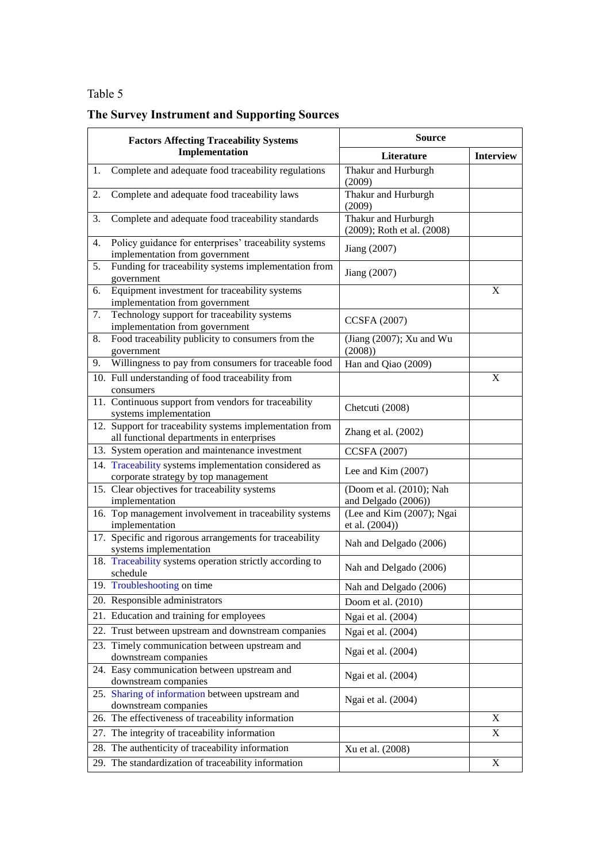# **The Survey Instrument and Supporting Sources**

|    | <b>Factors Affecting Traceability Systems</b>                                                         | <b>Source</b>                                     |                  |  |
|----|-------------------------------------------------------------------------------------------------------|---------------------------------------------------|------------------|--|
|    | Implementation                                                                                        | Literature                                        | <b>Interview</b> |  |
| 1. | Complete and adequate food traceability regulations                                                   | Thakur and Hurburgh<br>(2009)                     |                  |  |
| 2. | Complete and adequate food traceability laws                                                          | Thakur and Hurburgh<br>(2009)                     |                  |  |
| 3. | Complete and adequate food traceability standards                                                     | Thakur and Hurburgh<br>(2009); Roth et al. (2008) |                  |  |
| 4. | Policy guidance for enterprises' traceability systems<br>implementation from government               | Jiang (2007)                                      |                  |  |
| 5. | Funding for traceability systems implementation from<br>government                                    | Jiang (2007)                                      |                  |  |
| 6. | Equipment investment for traceability systems<br>implementation from government                       |                                                   | X                |  |
| 7. | Technology support for traceability systems<br>implementation from government                         | <b>CCSFA</b> (2007)                               |                  |  |
| 8. | Food traceability publicity to consumers from the<br>government                                       | (Jiang $(2007)$ ; Xu and Wu<br>(2008)             |                  |  |
| 9. | Willingness to pay from consumers for traceable food                                                  | Han and Qiao (2009)                               |                  |  |
|    | 10. Full understanding of food traceability from<br>consumers                                         |                                                   | X                |  |
|    | 11. Continuous support from vendors for traceability<br>systems implementation                        | Chetcuti (2008)                                   |                  |  |
|    | 12. Support for traceability systems implementation from<br>all functional departments in enterprises | Zhang et al. (2002)                               |                  |  |
|    | 13. System operation and maintenance investment                                                       | <b>CCSFA</b> (2007)                               |                  |  |
|    | 14. Traceability systems implementation considered as<br>corporate strategy by top management         | Lee and Kim (2007)                                |                  |  |
|    | 15. Clear objectives for traceability systems<br>implementation                                       | (Doom et al. (2010); Nah<br>and Delgado (2006))   |                  |  |
|    | 16. Top management involvement in traceability systems<br>implementation                              | (Lee and Kim (2007); Ngai<br>et al. (2004))       |                  |  |
|    | 17. Specific and rigorous arrangements for traceability<br>systems implementation                     | Nah and Delgado (2006)                            |                  |  |
|    | 18. Traceability systems operation strictly according to<br>schedule                                  | Nah and Delgado (2006)                            |                  |  |
|    | 19. Troubleshooting on time                                                                           | Nah and Delgado (2006)                            |                  |  |
|    | 20. Responsible administrators                                                                        | Doom et al. (2010)                                |                  |  |
|    | 21. Education and training for employees                                                              | Ngai et al. (2004)                                |                  |  |
|    | 22. Trust between upstream and downstream companies                                                   | Ngai et al. (2004)                                |                  |  |
|    | 23. Timely communication between upstream and<br>downstream companies                                 | Ngai et al. (2004)                                |                  |  |
|    | 24. Easy communication between upstream and<br>downstream companies                                   | Ngai et al. (2004)                                |                  |  |
|    | 25. Sharing of information between upstream and<br>downstream companies                               | Ngai et al. (2004)                                |                  |  |
|    | 26. The effectiveness of traceability information                                                     |                                                   | X                |  |
|    | 27. The integrity of traceability information                                                         |                                                   | X                |  |
|    | 28. The authenticity of traceability information                                                      | Xu et al. (2008)                                  |                  |  |
|    | 29. The standardization of traceability information                                                   |                                                   | $\mathbf X$      |  |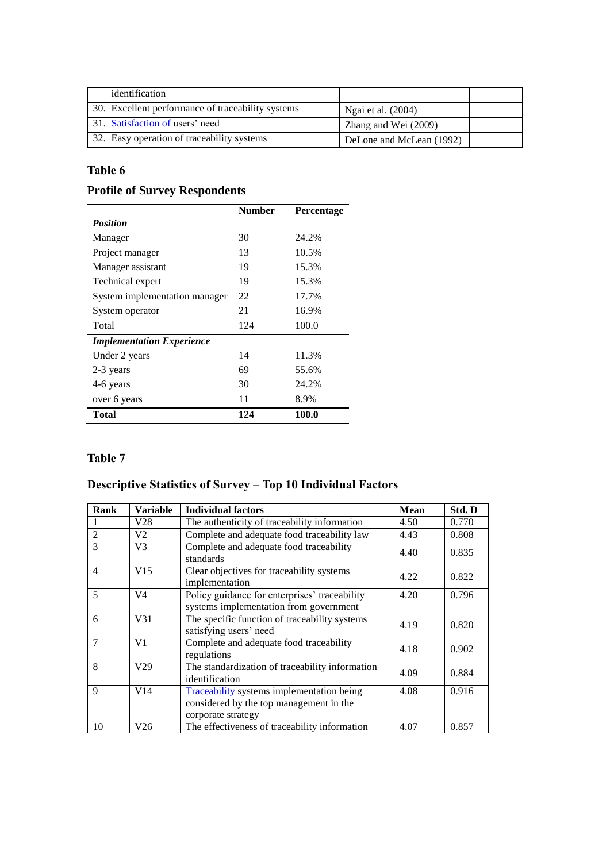| identification                                    |                          |  |
|---------------------------------------------------|--------------------------|--|
| 30. Excellent performance of traceability systems | Ngai et al. (2004)       |  |
| 31. Satisfaction of users' need                   | Zhang and Wei (2009)     |  |
| 32. Easy operation of traceability systems        | DeLone and McLean (1992) |  |

# **Profile of Survey Respondents**

|                                  | <b>Number</b> | Percentage |
|----------------------------------|---------------|------------|
| <b>Position</b>                  |               |            |
| Manager                          | 30            | 24.2%      |
| Project manager                  | 13            | 10.5%      |
| Manager assistant                | 19            | 15.3%      |
| Technical expert                 | 19            | 15.3%      |
| System implementation manager    | 22            | 17.7%      |
| System operator                  | 21            | 16.9%      |
| Total                            | 124           | 100.0      |
| <b>Implementation Experience</b> |               |            |
| Under 2 years                    | 14            | 11.3%      |
| 2-3 years                        | 69            | 55.6%      |
| 4-6 years                        | 30            | 24.2%      |
| over 6 years                     | 11            | 8.9%       |
| <b>Total</b>                     | 124           | 100.0      |

### **Table 7**

### **Descriptive Statistics of Survey – Top 10 Individual Factors**

| Rank           | <b>Variable</b> | <b>Individual factors</b>                                                                                  | <b>Mean</b> | Std. D |
|----------------|-----------------|------------------------------------------------------------------------------------------------------------|-------------|--------|
|                | V <sub>28</sub> | The authenticity of traceability information                                                               | 4.50        | 0.770  |
| $\overline{2}$ | V <sub>2</sub>  | Complete and adequate food traceability law                                                                | 4.43        | 0.808  |
| 3              | V3              | Complete and adequate food traceability<br>standards                                                       | 4.40        | 0.835  |
| $\overline{4}$ | V15             | Clear objectives for traceability systems<br>implementation                                                | 4.22        | 0.822  |
| 5              | V4              | Policy guidance for enterprises' traceability<br>systems implementation from government                    | 4.20        | 0.796  |
| 6              | V <sub>31</sub> | The specific function of traceability systems<br>satisfying users' need                                    | 4.19        | 0.820  |
| $\overline{7}$ | V <sub>1</sub>  | Complete and adequate food traceability<br>regulations                                                     | 4.18        | 0.902  |
| 8              | V29             | The standardization of traceability information<br>identification                                          | 4.09        | 0.884  |
| 9              | V <sub>14</sub> | Traceability systems implementation being<br>considered by the top management in the<br>corporate strategy | 4.08        | 0.916  |
| 10             | V26             | The effectiveness of traceability information                                                              | 4.07        | 0.857  |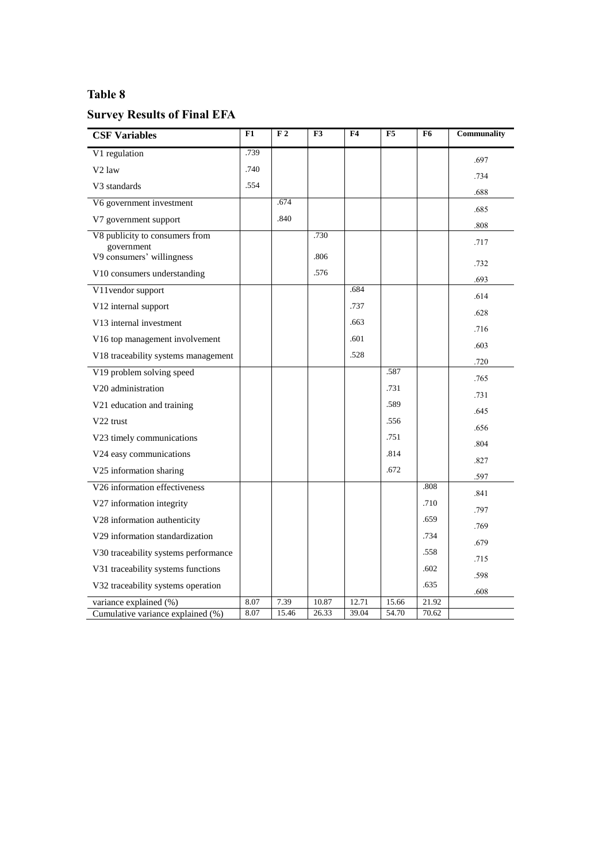#### **Survey Results of Final EFA**

| <b>CSF Variables</b>                         | F1   | F <sub>2</sub> | F <sub>3</sub> | F <sub>4</sub> | F5    | F <sub>6</sub> | Communality |
|----------------------------------------------|------|----------------|----------------|----------------|-------|----------------|-------------|
| V1 regulation                                | .739 |                |                |                |       |                | .697        |
| V <sub>2</sub> law                           | .740 |                |                |                |       |                | .734        |
| V3 standards                                 | .554 |                |                |                |       |                | .688        |
| V6 government investment                     |      | .674           |                |                |       |                | .685        |
| V7 government support                        |      | .840           |                |                |       |                | .808        |
| V8 publicity to consumers from<br>government |      |                | .730<br>.806   |                |       |                | .717        |
| V9 consumers' willingness                    |      |                |                |                |       |                | .732        |
| V10 consumers understanding                  |      |                | .576           |                |       |                | .693        |
| V11vendor support                            |      |                |                | .684           |       |                | .614        |
| V12 internal support                         |      |                |                | .737           |       |                | .628        |
| V13 internal investment                      |      |                |                | .663           |       |                | .716        |
| V16 top management involvement               |      |                |                | .601           |       |                | .603        |
| V18 traceability systems management          |      |                |                | .528           |       |                | .720        |
| V19 problem solving speed                    |      |                |                |                | .587  |                | .765        |
| V20 administration                           |      |                |                |                | .731  |                | .731        |
| V21 education and training                   |      |                |                |                | .589  |                | .645        |
| V22 trust                                    |      |                |                |                | .556  |                | .656        |
| V23 timely communications                    |      |                |                |                | .751  |                | .804        |
| V24 easy communications                      |      |                |                |                | .814  |                | .827        |
| V25 information sharing                      |      |                |                |                | .672  |                | .597        |
| V26 information effectiveness                |      |                |                |                |       | .808           | .841        |
| V27 information integrity                    |      |                |                |                |       | .710           | .797        |
| V28 information authenticity                 |      |                |                |                |       | .659           | .769        |
| V29 information standardization              |      |                |                |                |       | .734           | .679        |
| V30 traceability systems performance         |      |                |                |                |       | .558           | .715        |
| V31 traceability systems functions           |      |                |                |                |       | .602           | .598        |
| V32 traceability systems operation           |      |                |                |                |       | .635           | .608        |
| variance explained (%)                       | 8.07 | 7.39           | 10.87          | 12.71          | 15.66 | 21.92          |             |
| Cumulative variance explained (%)            | 8.07 | 15.46          | 26.33          | 39.04          | 54.70 | 70.62          |             |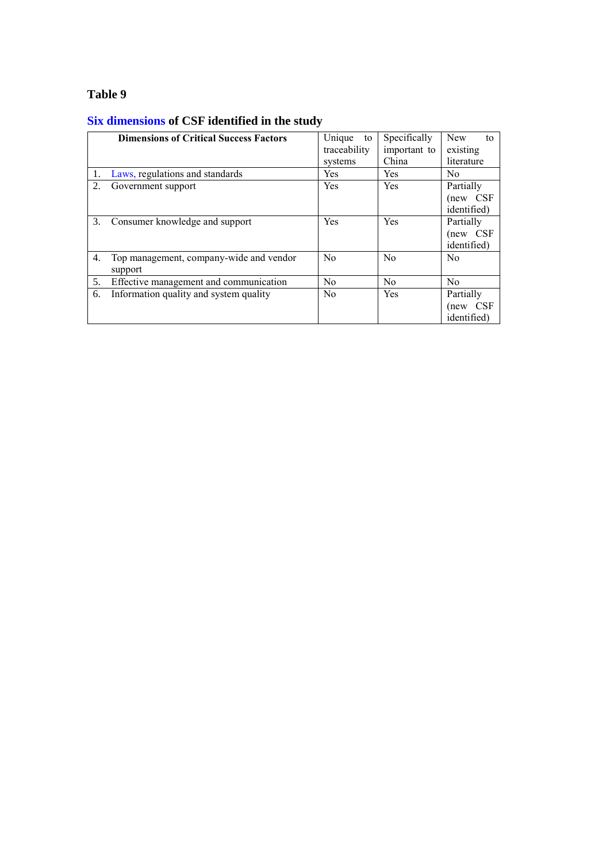# **Six dimensions of CSF identified in the study**

|    | <b>Dimensions of Critical Success Factors</b> | Unique<br>to   | Specifically   | <b>New</b><br>to   |
|----|-----------------------------------------------|----------------|----------------|--------------------|
|    |                                               | traceability   | important to   | existing           |
|    |                                               | systems        | China          | literature         |
| 1. | Laws, regulations and standards               | Yes            | <b>Yes</b>     | N <sub>0</sub>     |
| 2. | Government support                            | <b>Yes</b>     | <b>Yes</b>     | Partially          |
|    |                                               |                |                | (new CSF)          |
|    |                                               |                |                | identified)        |
| 3. | Consumer knowledge and support                | <b>Yes</b>     | Yes            | Partially          |
|    |                                               |                |                | (new CSF           |
|    |                                               |                |                | identified)        |
| 4. | Top management, company-wide and vendor       | N <sub>0</sub> | N <sub>0</sub> | N <sub>0</sub>     |
|    | support                                       |                |                |                    |
| 5. | Effective management and communication        | N <sub>0</sub> | No             | No.                |
| 6. | Information quality and system quality        | N <sub>0</sub> | Yes            | Partially          |
|    |                                               |                |                | <b>CSF</b><br>(new |
|    |                                               |                |                | identified)        |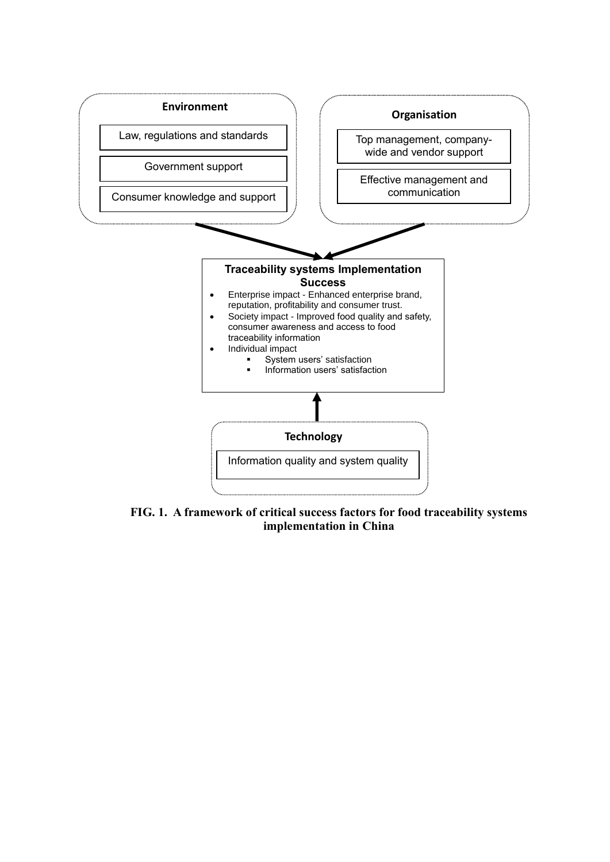

**FIG. 1. A framework of critical success factors for food traceability systems implementation in China**